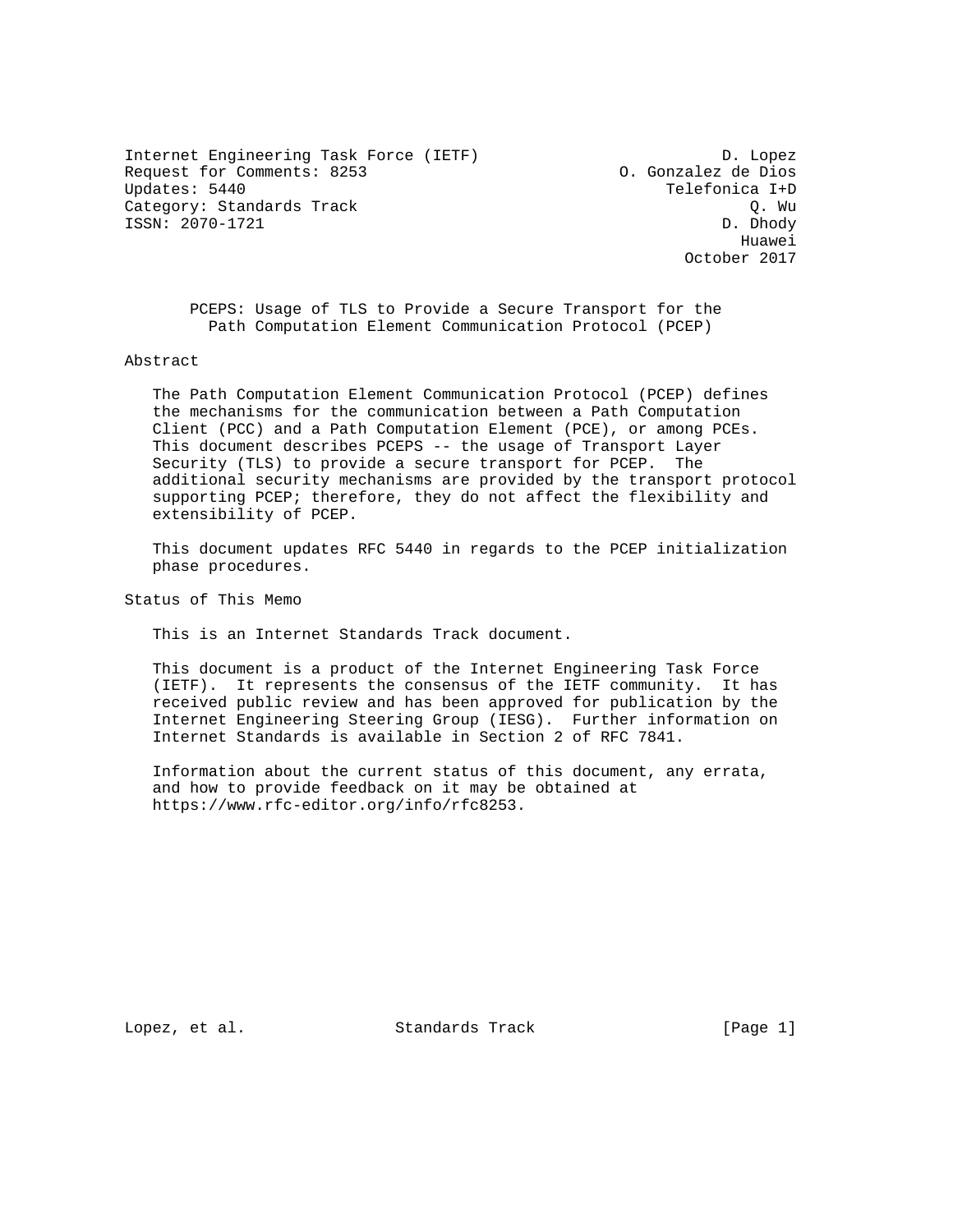Internet Engineering Task Force (IETF) D. Lopez Request for Comments: 8253 (a) 0. Gonzalez de Dios<br>
Updates: 5440 (a) Telefonica I+D Category: Standards Track Gategory: Standards Track Gategory: Standards Track Gategory: 2070–1721 ISSN: 2070-1721

Telefonica I+D<br>0. Wu he distributed by the control of the control of the control of the control of the control of the control of the control of the control of the control of the control of the control of the control of the control of the contr October 2017

 PCEPS: Usage of TLS to Provide a Secure Transport for the Path Computation Element Communication Protocol (PCEP)

Abstract

 The Path Computation Element Communication Protocol (PCEP) defines the mechanisms for the communication between a Path Computation Client (PCC) and a Path Computation Element (PCE), or among PCEs. This document describes PCEPS -- the usage of Transport Layer Security (TLS) to provide a secure transport for PCEP. The additional security mechanisms are provided by the transport protocol supporting PCEP; therefore, they do not affect the flexibility and extensibility of PCEP.

 This document updates RFC 5440 in regards to the PCEP initialization phase procedures.

Status of This Memo

This is an Internet Standards Track document.

 This document is a product of the Internet Engineering Task Force (IETF). It represents the consensus of the IETF community. It has received public review and has been approved for publication by the Internet Engineering Steering Group (IESG). Further information on Internet Standards is available in Section 2 of RFC 7841.

 Information about the current status of this document, any errata, and how to provide feedback on it may be obtained at https://www.rfc-editor.org/info/rfc8253.

Lopez, et al. Standards Track [Page 1]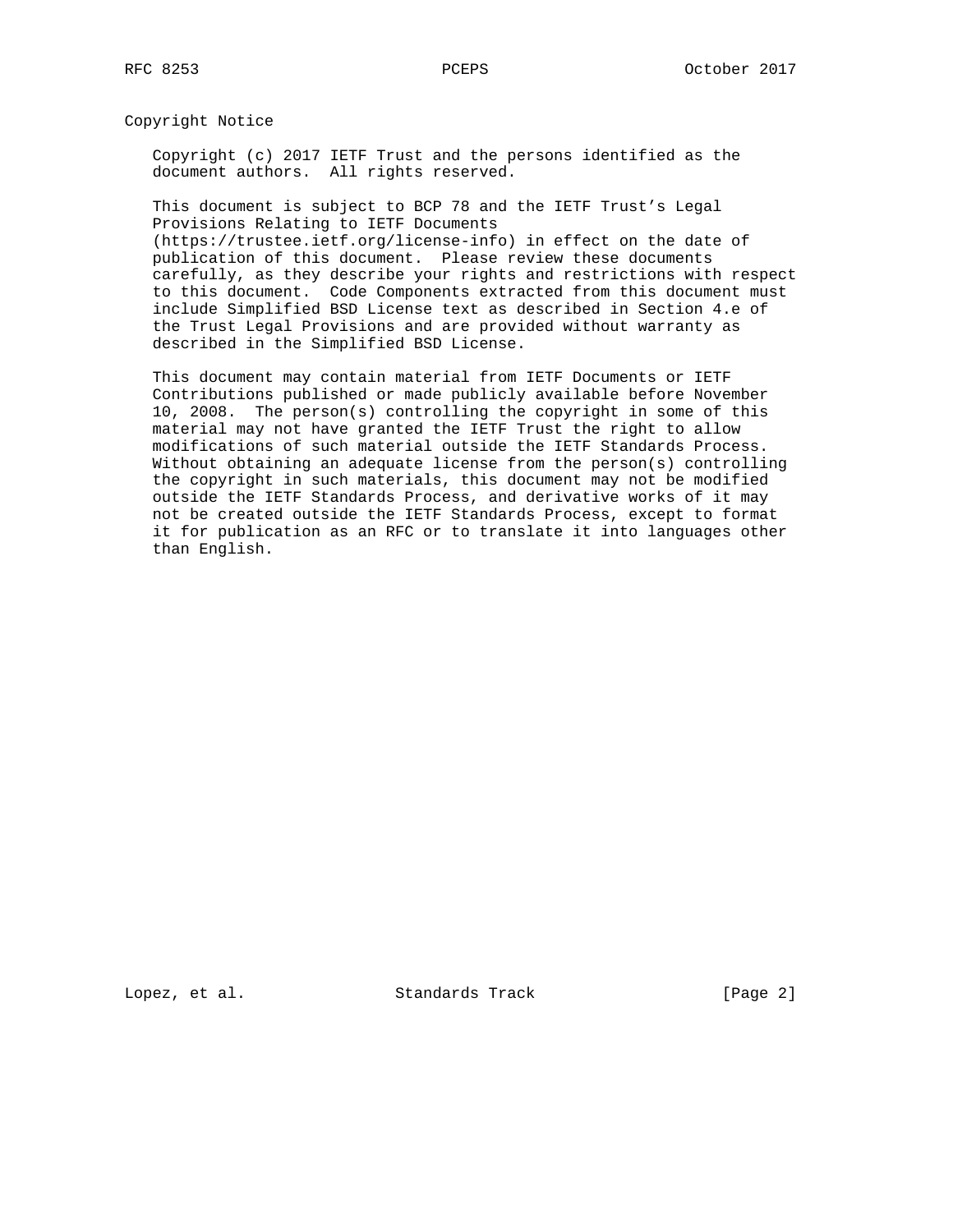Copyright Notice

 Copyright (c) 2017 IETF Trust and the persons identified as the document authors. All rights reserved.

 This document is subject to BCP 78 and the IETF Trust's Legal Provisions Relating to IETF Documents

 (https://trustee.ietf.org/license-info) in effect on the date of publication of this document. Please review these documents carefully, as they describe your rights and restrictions with respect to this document. Code Components extracted from this document must include Simplified BSD License text as described in Section 4.e of the Trust Legal Provisions and are provided without warranty as described in the Simplified BSD License.

 This document may contain material from IETF Documents or IETF Contributions published or made publicly available before November 10, 2008. The person(s) controlling the copyright in some of this material may not have granted the IETF Trust the right to allow modifications of such material outside the IETF Standards Process. Without obtaining an adequate license from the person(s) controlling the copyright in such materials, this document may not be modified outside the IETF Standards Process, and derivative works of it may not be created outside the IETF Standards Process, except to format it for publication as an RFC or to translate it into languages other than English.

Lopez, et al. Standards Track [Page 2]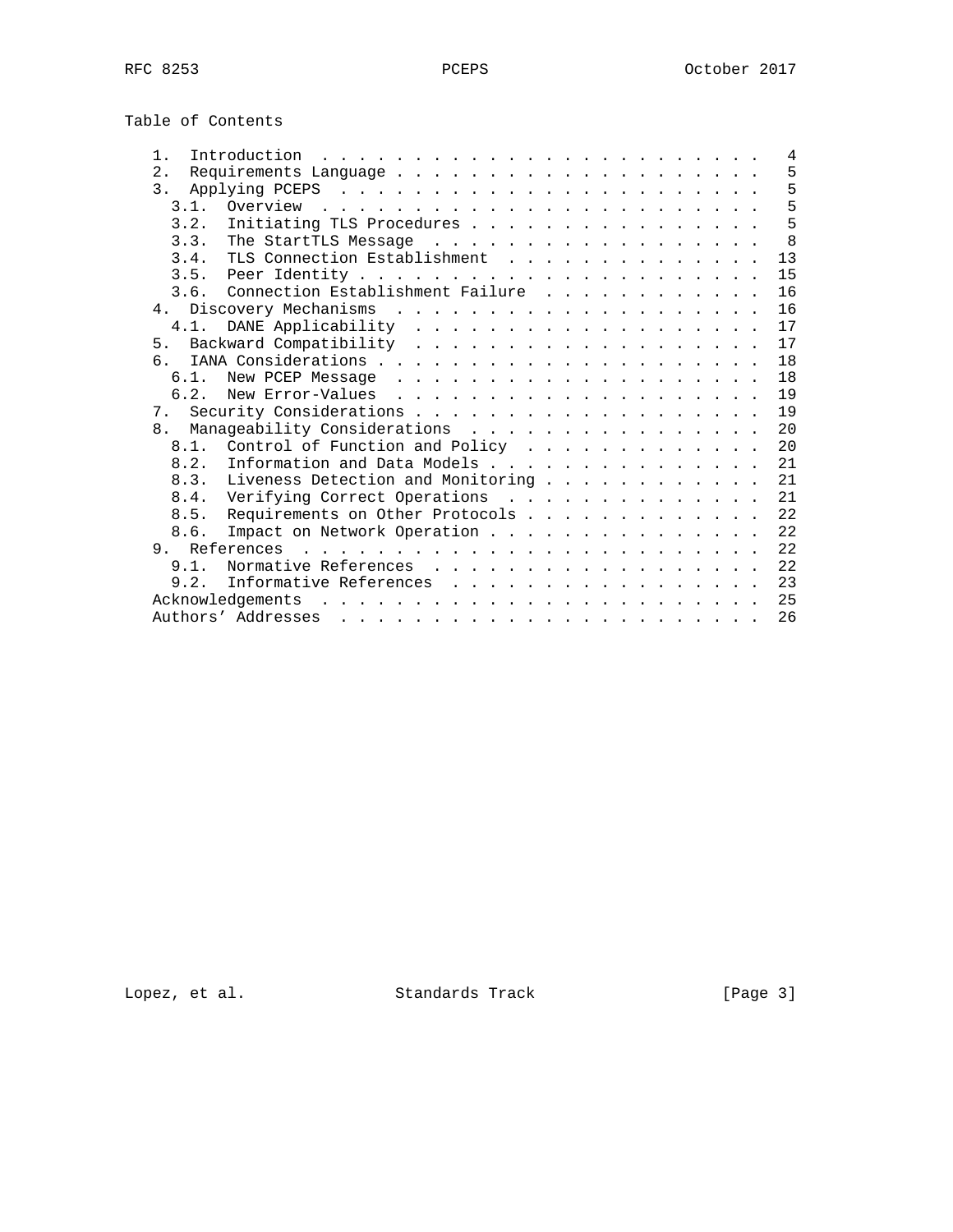| Table of Contents |  |
|-------------------|--|
|-------------------|--|

| $1$ .                                                                                                  |  |  |  |  |  | 4  |
|--------------------------------------------------------------------------------------------------------|--|--|--|--|--|----|
| 2.                                                                                                     |  |  |  |  |  | 5  |
| 3 <sup>1</sup>                                                                                         |  |  |  |  |  | 5  |
| 3.1.                                                                                                   |  |  |  |  |  | 5  |
| Initiating TLS Procedures<br>3.2.                                                                      |  |  |  |  |  | 5  |
| 3.3.<br>The StartTLS Message                                                                           |  |  |  |  |  | 8  |
| TLS Connection Establishment<br>3.4.                                                                   |  |  |  |  |  | 13 |
|                                                                                                        |  |  |  |  |  | 15 |
| 3.6.                                                                                                   |  |  |  |  |  | 16 |
| Connection Establishment Failure                                                                       |  |  |  |  |  |    |
|                                                                                                        |  |  |  |  |  | 16 |
| 4.1.                                                                                                   |  |  |  |  |  | 17 |
|                                                                                                        |  |  |  |  |  | 17 |
| რ.                                                                                                     |  |  |  |  |  | 18 |
| 6.1.                                                                                                   |  |  |  |  |  | 18 |
| 6.2.                                                                                                   |  |  |  |  |  | 19 |
|                                                                                                        |  |  |  |  |  | 19 |
| Manageability Considerations<br>8.                                                                     |  |  |  |  |  | 20 |
| Control of Function and Policy<br>8.1.                                                                 |  |  |  |  |  | 20 |
| Information and Data Models<br>8.2.                                                                    |  |  |  |  |  | 21 |
| Liveness Detection and Monitoring<br>8.3.                                                              |  |  |  |  |  | 21 |
| Verifying Correct Operations<br>8.4.                                                                   |  |  |  |  |  | 21 |
| 8.5.<br>Requirements on Other Protocols                                                                |  |  |  |  |  | 22 |
| Impact on Network Operation<br>8.6.                                                                    |  |  |  |  |  | 22 |
|                                                                                                        |  |  |  |  |  | 22 |
| Normative References<br>9.1.                                                                           |  |  |  |  |  | 22 |
| 9.2.                                                                                                   |  |  |  |  |  | 23 |
| Informative References                                                                                 |  |  |  |  |  |    |
| Acknowledgements                                                                                       |  |  |  |  |  | 25 |
| Authors' Addresses<br>والمناور والمناور والمناور والمناور والمناور والمناور والمناور والمناور والمناور |  |  |  |  |  | 26 |

Lopez, et al. Standards Track [Page 3]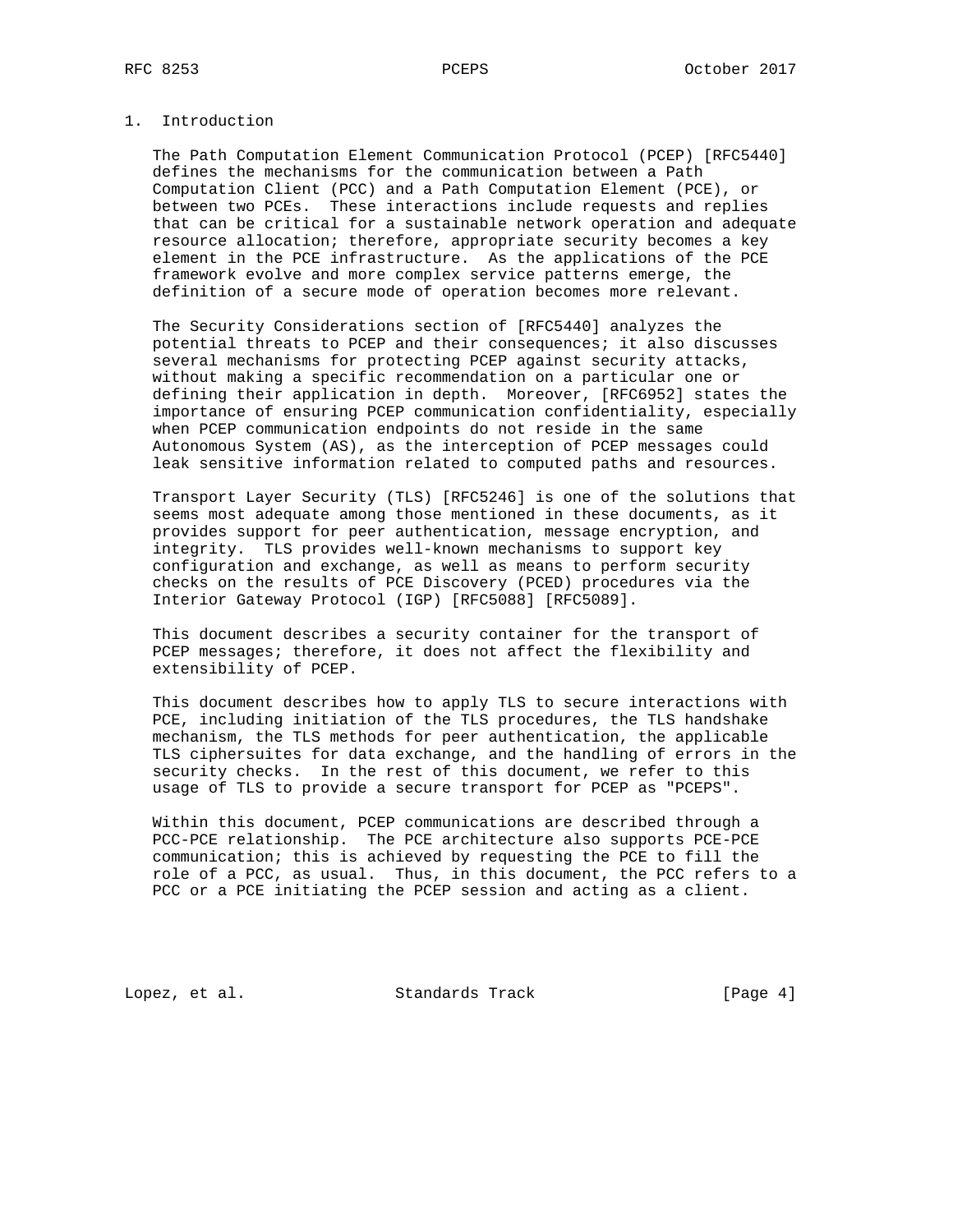# 1. Introduction

 The Path Computation Element Communication Protocol (PCEP) [RFC5440] defines the mechanisms for the communication between a Path Computation Client (PCC) and a Path Computation Element (PCE), or between two PCEs. These interactions include requests and replies that can be critical for a sustainable network operation and adequate resource allocation; therefore, appropriate security becomes a key element in the PCE infrastructure. As the applications of the PCE framework evolve and more complex service patterns emerge, the definition of a secure mode of operation becomes more relevant.

 The Security Considerations section of [RFC5440] analyzes the potential threats to PCEP and their consequences; it also discusses several mechanisms for protecting PCEP against security attacks, without making a specific recommendation on a particular one or defining their application in depth. Moreover, [RFC6952] states the importance of ensuring PCEP communication confidentiality, especially when PCEP communication endpoints do not reside in the same Autonomous System (AS), as the interception of PCEP messages could leak sensitive information related to computed paths and resources.

 Transport Layer Security (TLS) [RFC5246] is one of the solutions that seems most adequate among those mentioned in these documents, as it provides support for peer authentication, message encryption, and integrity. TLS provides well-known mechanisms to support key configuration and exchange, as well as means to perform security checks on the results of PCE Discovery (PCED) procedures via the Interior Gateway Protocol (IGP) [RFC5088] [RFC5089].

 This document describes a security container for the transport of PCEP messages; therefore, it does not affect the flexibility and extensibility of PCEP.

 This document describes how to apply TLS to secure interactions with PCE, including initiation of the TLS procedures, the TLS handshake mechanism, the TLS methods for peer authentication, the applicable TLS ciphersuites for data exchange, and the handling of errors in the security checks. In the rest of this document, we refer to this usage of TLS to provide a secure transport for PCEP as "PCEPS".

 Within this document, PCEP communications are described through a PCC-PCE relationship. The PCE architecture also supports PCE-PCE communication; this is achieved by requesting the PCE to fill the role of a PCC, as usual. Thus, in this document, the PCC refers to a PCC or a PCE initiating the PCEP session and acting as a client.

Lopez, et al. Standards Track [Page 4]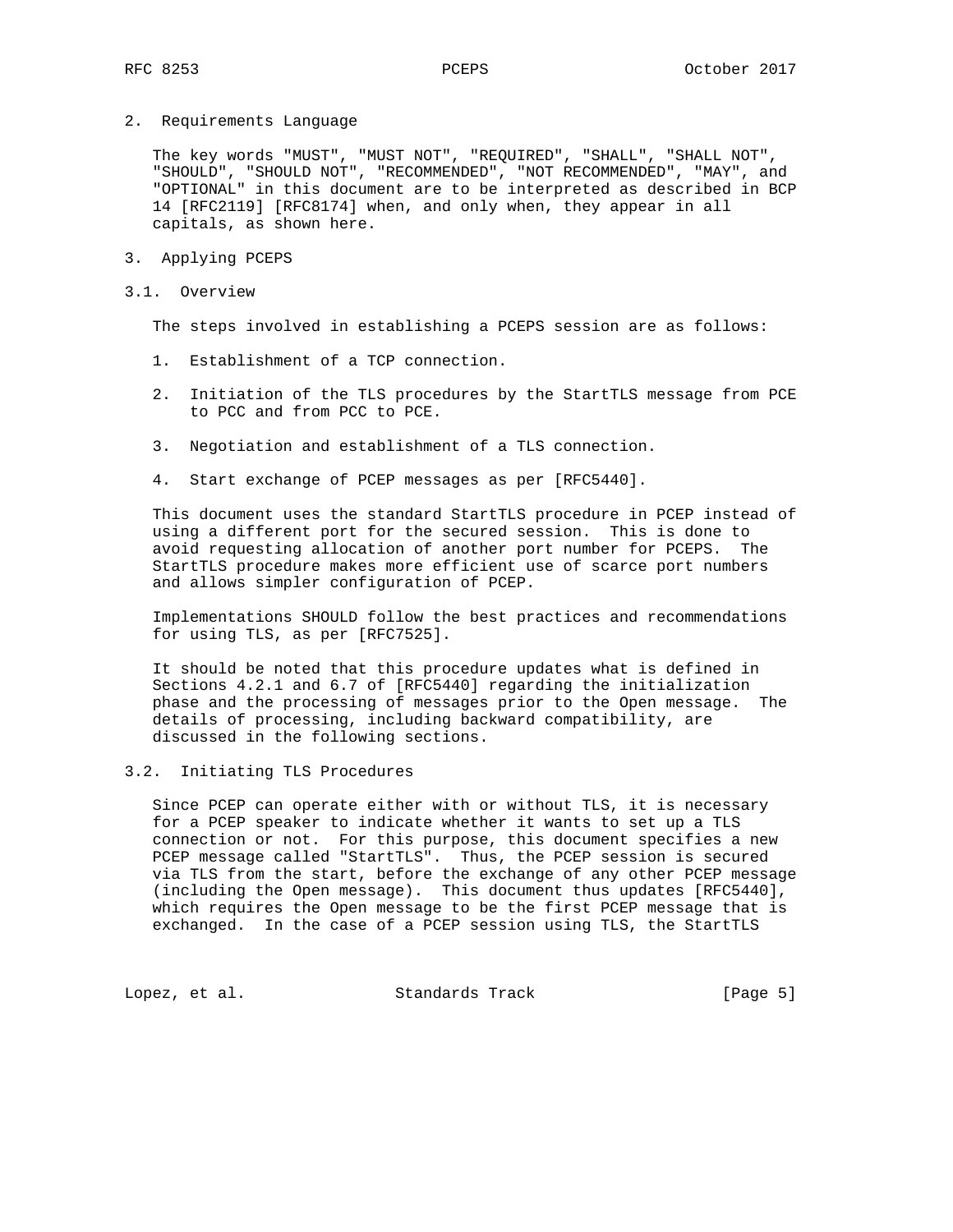2. Requirements Language

 The key words "MUST", "MUST NOT", "REQUIRED", "SHALL", "SHALL NOT", "SHOULD", "SHOULD NOT", "RECOMMENDED", "NOT RECOMMENDED", "MAY", and "OPTIONAL" in this document are to be interpreted as described in BCP 14 [RFC2119] [RFC8174] when, and only when, they appear in all capitals, as shown here.

- 3. Applying PCEPS
- 3.1. Overview

The steps involved in establishing a PCEPS session are as follows:

- 1. Establishment of a TCP connection.
- 2. Initiation of the TLS procedures by the StartTLS message from PCE to PCC and from PCC to PCE.
- 3. Negotiation and establishment of a TLS connection.
- 4. Start exchange of PCEP messages as per [RFC5440].

 This document uses the standard StartTLS procedure in PCEP instead of using a different port for the secured session. This is done to avoid requesting allocation of another port number for PCEPS. The StartTLS procedure makes more efficient use of scarce port numbers and allows simpler configuration of PCEP.

 Implementations SHOULD follow the best practices and recommendations for using TLS, as per [RFC7525].

 It should be noted that this procedure updates what is defined in Sections 4.2.1 and 6.7 of [RFC5440] regarding the initialization phase and the processing of messages prior to the Open message. The details of processing, including backward compatibility, are discussed in the following sections.

3.2. Initiating TLS Procedures

 Since PCEP can operate either with or without TLS, it is necessary for a PCEP speaker to indicate whether it wants to set up a TLS connection or not. For this purpose, this document specifies a new PCEP message called "StartTLS". Thus, the PCEP session is secured via TLS from the start, before the exchange of any other PCEP message (including the Open message). This document thus updates [RFC5440], which requires the Open message to be the first PCEP message that is exchanged. In the case of a PCEP session using TLS, the StartTLS

Lopez, et al. Standards Track [Page 5]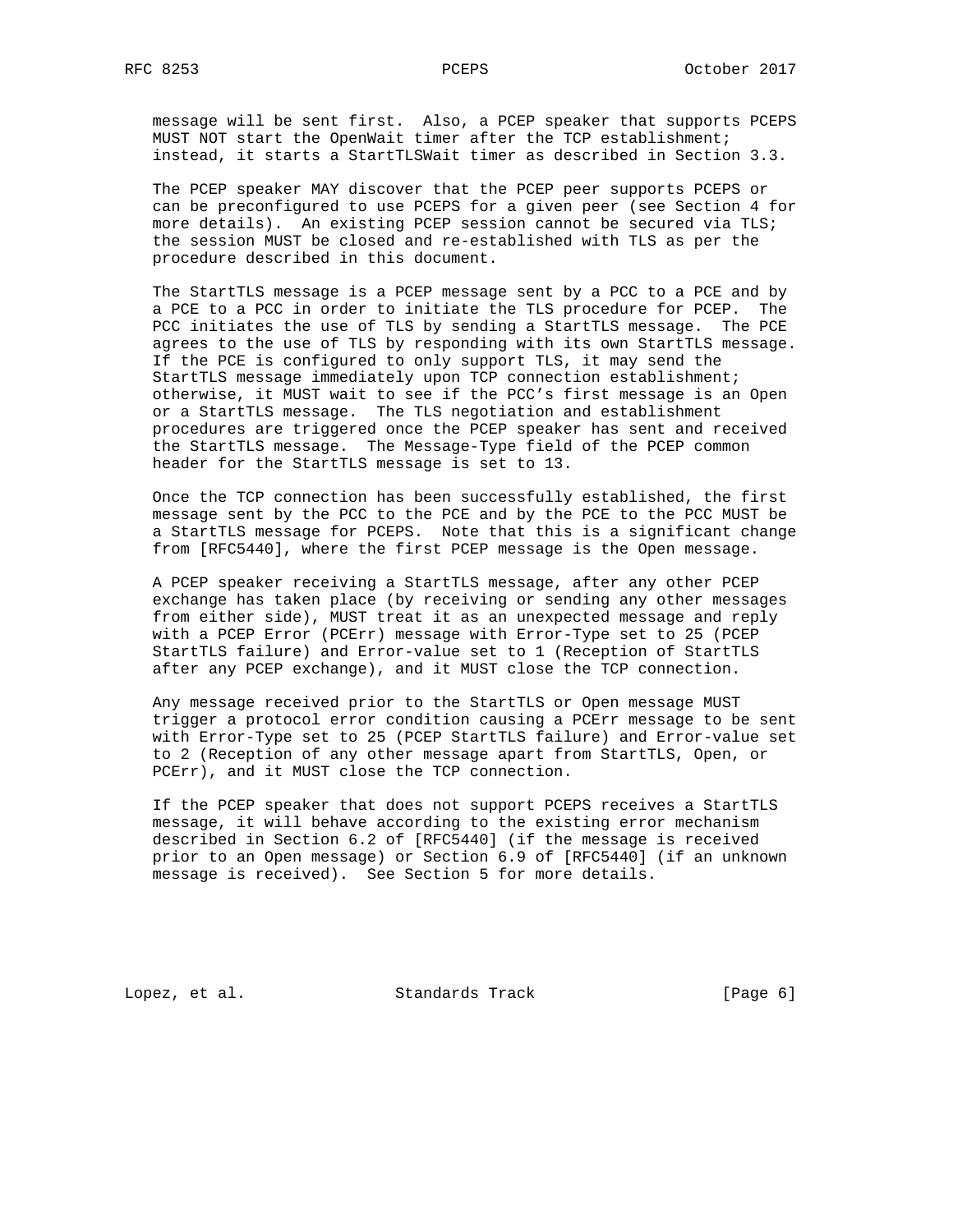message will be sent first. Also, a PCEP speaker that supports PCEPS MUST NOT start the OpenWait timer after the TCP establishment; instead, it starts a StartTLSWait timer as described in Section 3.3.

 The PCEP speaker MAY discover that the PCEP peer supports PCEPS or can be preconfigured to use PCEPS for a given peer (see Section 4 for more details). An existing PCEP session cannot be secured via TLS; the session MUST be closed and re-established with TLS as per the procedure described in this document.

 The StartTLS message is a PCEP message sent by a PCC to a PCE and by a PCE to a PCC in order to initiate the TLS procedure for PCEP. The PCC initiates the use of TLS by sending a StartTLS message. The PCE agrees to the use of TLS by responding with its own StartTLS message. If the PCE is configured to only support TLS, it may send the StartTLS message immediately upon TCP connection establishment; otherwise, it MUST wait to see if the PCC's first message is an Open or a StartTLS message. The TLS negotiation and establishment procedures are triggered once the PCEP speaker has sent and received the StartTLS message. The Message-Type field of the PCEP common header for the StartTLS message is set to 13.

 Once the TCP connection has been successfully established, the first message sent by the PCC to the PCE and by the PCE to the PCC MUST be a StartTLS message for PCEPS. Note that this is a significant change from [RFC5440], where the first PCEP message is the Open message.

 A PCEP speaker receiving a StartTLS message, after any other PCEP exchange has taken place (by receiving or sending any other messages from either side), MUST treat it as an unexpected message and reply with a PCEP Error (PCErr) message with Error-Type set to 25 (PCEP StartTLS failure) and Error-value set to 1 (Reception of StartTLS after any PCEP exchange), and it MUST close the TCP connection.

 Any message received prior to the StartTLS or Open message MUST trigger a protocol error condition causing a PCErr message to be sent with Error-Type set to 25 (PCEP StartTLS failure) and Error-value set to 2 (Reception of any other message apart from StartTLS, Open, or PCErr), and it MUST close the TCP connection.

 If the PCEP speaker that does not support PCEPS receives a StartTLS message, it will behave according to the existing error mechanism described in Section 6.2 of [RFC5440] (if the message is received prior to an Open message) or Section 6.9 of [RFC5440] (if an unknown message is received). See Section 5 for more details.

Lopez, et al. Standards Track [Page 6]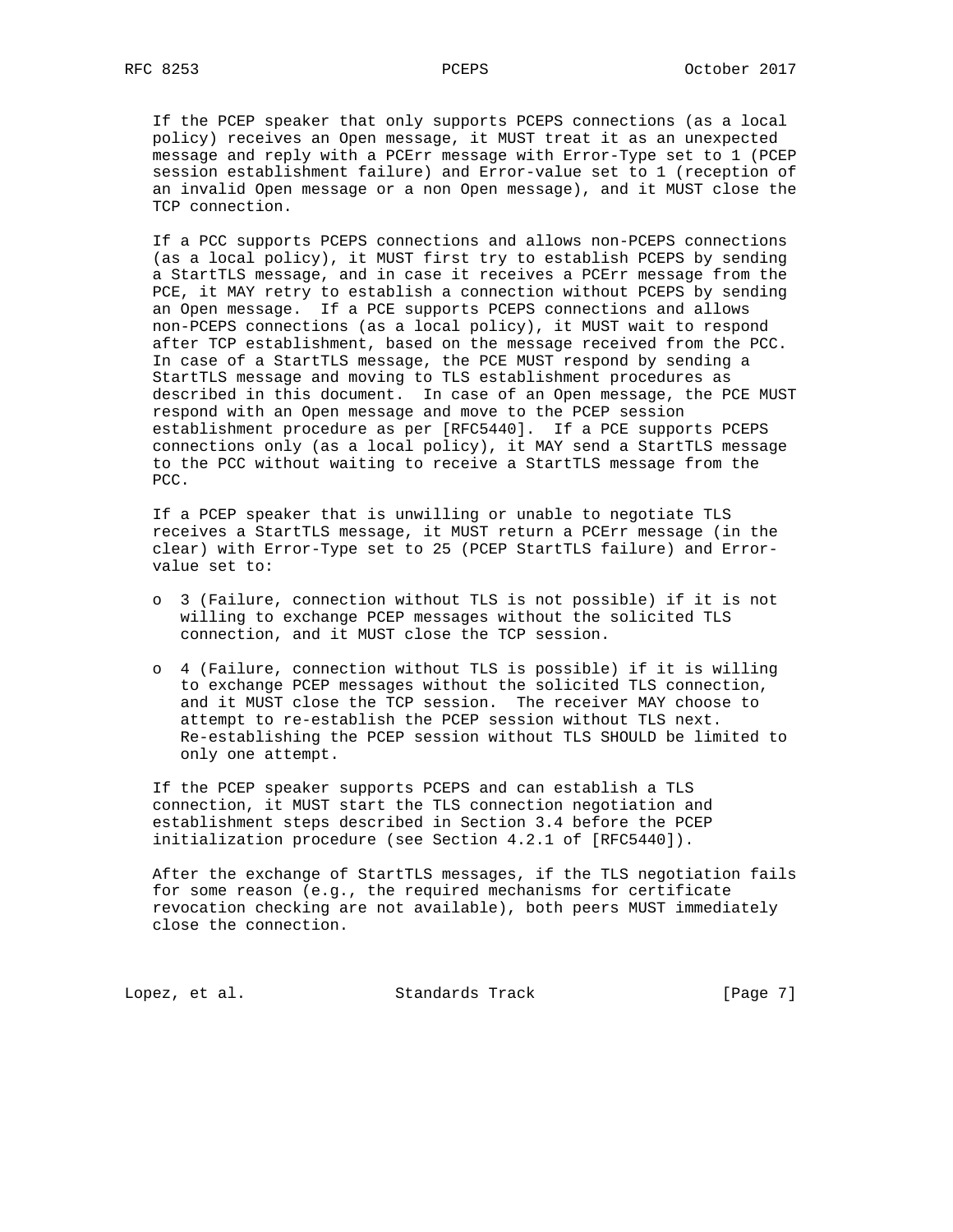If the PCEP speaker that only supports PCEPS connections (as a local policy) receives an Open message, it MUST treat it as an unexpected message and reply with a PCErr message with Error-Type set to 1 (PCEP session establishment failure) and Error-value set to 1 (reception of an invalid Open message or a non Open message), and it MUST close the TCP connection.

 If a PCC supports PCEPS connections and allows non-PCEPS connections (as a local policy), it MUST first try to establish PCEPS by sending a StartTLS message, and in case it receives a PCErr message from the PCE, it MAY retry to establish a connection without PCEPS by sending an Open message. If a PCE supports PCEPS connections and allows non-PCEPS connections (as a local policy), it MUST wait to respond after TCP establishment, based on the message received from the PCC. In case of a StartTLS message, the PCE MUST respond by sending a StartTLS message and moving to TLS establishment procedures as described in this document. In case of an Open message, the PCE MUST respond with an Open message and move to the PCEP session establishment procedure as per [RFC5440]. If a PCE supports PCEPS connections only (as a local policy), it MAY send a StartTLS message to the PCC without waiting to receive a StartTLS message from the PCC.

 If a PCEP speaker that is unwilling or unable to negotiate TLS receives a StartTLS message, it MUST return a PCErr message (in the clear) with Error-Type set to 25 (PCEP StartTLS failure) and Error value set to:

- o 3 (Failure, connection without TLS is not possible) if it is not willing to exchange PCEP messages without the solicited TLS connection, and it MUST close the TCP session.
- o 4 (Failure, connection without TLS is possible) if it is willing to exchange PCEP messages without the solicited TLS connection, and it MUST close the TCP session. The receiver MAY choose to attempt to re-establish the PCEP session without TLS next. Re-establishing the PCEP session without TLS SHOULD be limited to only one attempt.

 If the PCEP speaker supports PCEPS and can establish a TLS connection, it MUST start the TLS connection negotiation and establishment steps described in Section 3.4 before the PCEP initialization procedure (see Section 4.2.1 of [RFC5440]).

 After the exchange of StartTLS messages, if the TLS negotiation fails for some reason (e.g., the required mechanisms for certificate revocation checking are not available), both peers MUST immediately close the connection.

Lopez, et al. Standards Track [Page 7]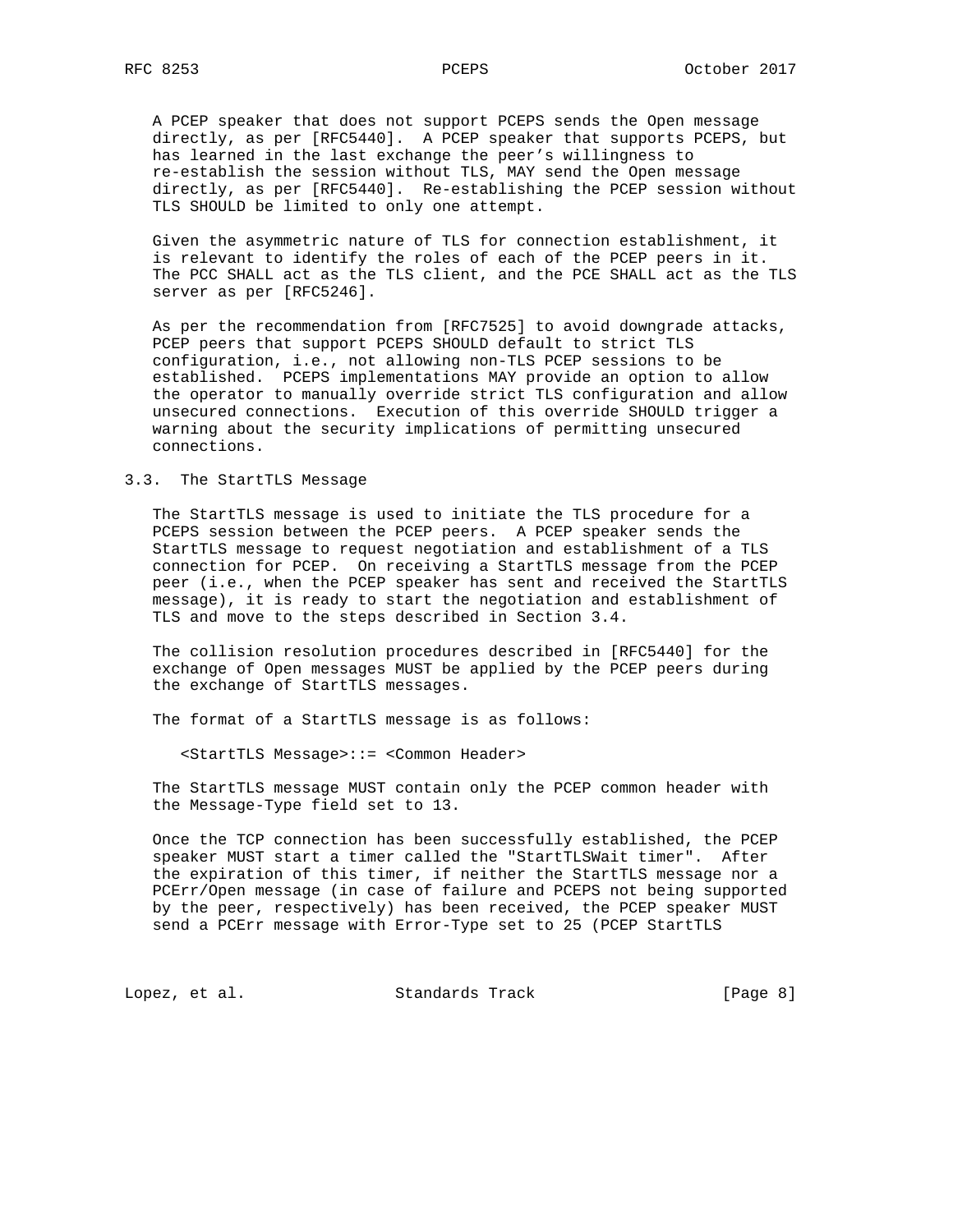A PCEP speaker that does not support PCEPS sends the Open message directly, as per [RFC5440]. A PCEP speaker that supports PCEPS, but has learned in the last exchange the peer's willingness to re-establish the session without TLS, MAY send the Open message directly, as per [RFC5440]. Re-establishing the PCEP session without TLS SHOULD be limited to only one attempt.

 Given the asymmetric nature of TLS for connection establishment, it is relevant to identify the roles of each of the PCEP peers in it. The PCC SHALL act as the TLS client, and the PCE SHALL act as the TLS server as per [RFC5246].

 As per the recommendation from [RFC7525] to avoid downgrade attacks, PCEP peers that support PCEPS SHOULD default to strict TLS configuration, i.e., not allowing non-TLS PCEP sessions to be established. PCEPS implementations MAY provide an option to allow the operator to manually override strict TLS configuration and allow unsecured connections. Execution of this override SHOULD trigger a warning about the security implications of permitting unsecured connections.

## 3.3. The StartTLS Message

 The StartTLS message is used to initiate the TLS procedure for a PCEPS session between the PCEP peers. A PCEP speaker sends the StartTLS message to request negotiation and establishment of a TLS connection for PCEP. On receiving a StartTLS message from the PCEP peer (i.e., when the PCEP speaker has sent and received the StartTLS message), it is ready to start the negotiation and establishment of TLS and move to the steps described in Section 3.4.

 The collision resolution procedures described in [RFC5440] for the exchange of Open messages MUST be applied by the PCEP peers during the exchange of StartTLS messages.

The format of a StartTLS message is as follows:

<StartTLS Message>::= <Common Header>

 The StartTLS message MUST contain only the PCEP common header with the Message-Type field set to 13.

 Once the TCP connection has been successfully established, the PCEP speaker MUST start a timer called the "StartTLSWait timer". After the expiration of this timer, if neither the StartTLS message nor a PCErr/Open message (in case of failure and PCEPS not being supported by the peer, respectively) has been received, the PCEP speaker MUST send a PCErr message with Error-Type set to 25 (PCEP StartTLS

Lopez, et al. Standards Track [Page 8]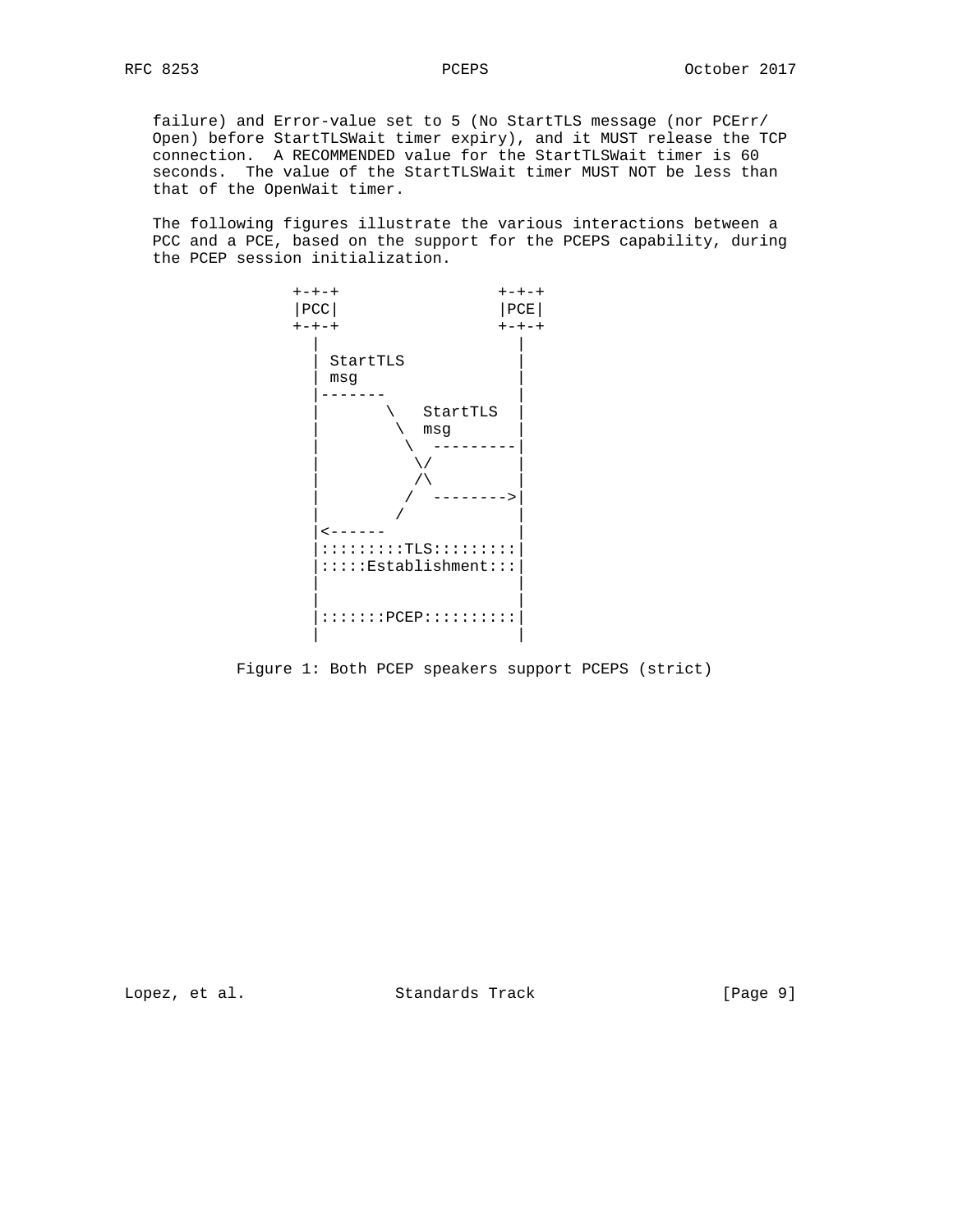failure) and Error-value set to 5 (No StartTLS message (nor PCErr/ Open) before StartTLSWait timer expiry), and it MUST release the TCP connection. A RECOMMENDED value for the StartTLSWait timer is 60 seconds. The value of the StartTLSWait timer MUST NOT be less than that of the OpenWait timer.

 The following figures illustrate the various interactions between a PCC and a PCE, based on the support for the PCEPS capability, during the PCEP session initialization.



Figure 1: Both PCEP speakers support PCEPS (strict)

Lopez, et al. Standards Track [Page 9]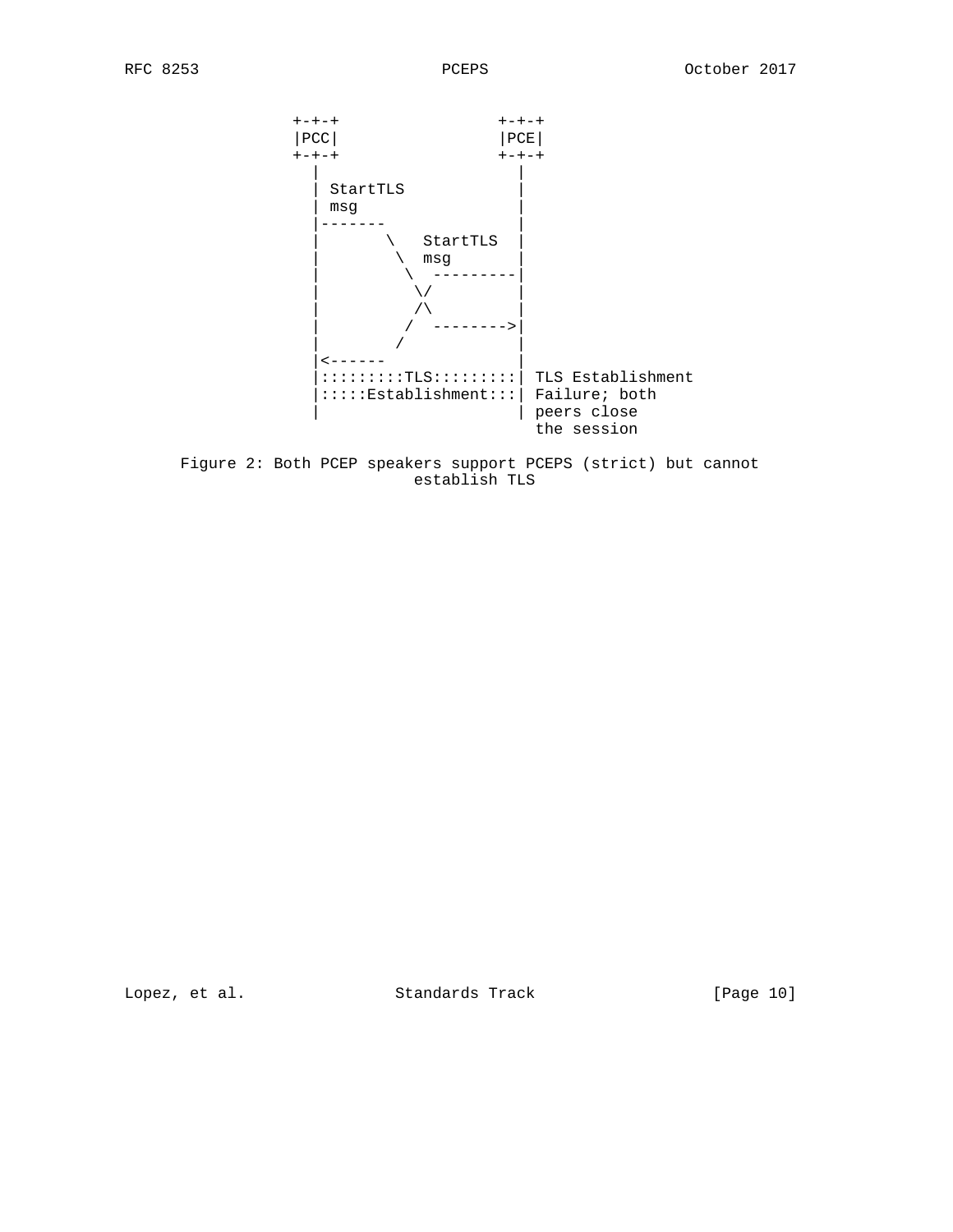

 Figure 2: Both PCEP speakers support PCEPS (strict) but cannot establish TLS

Lopez, et al. Standards Track [Page 10]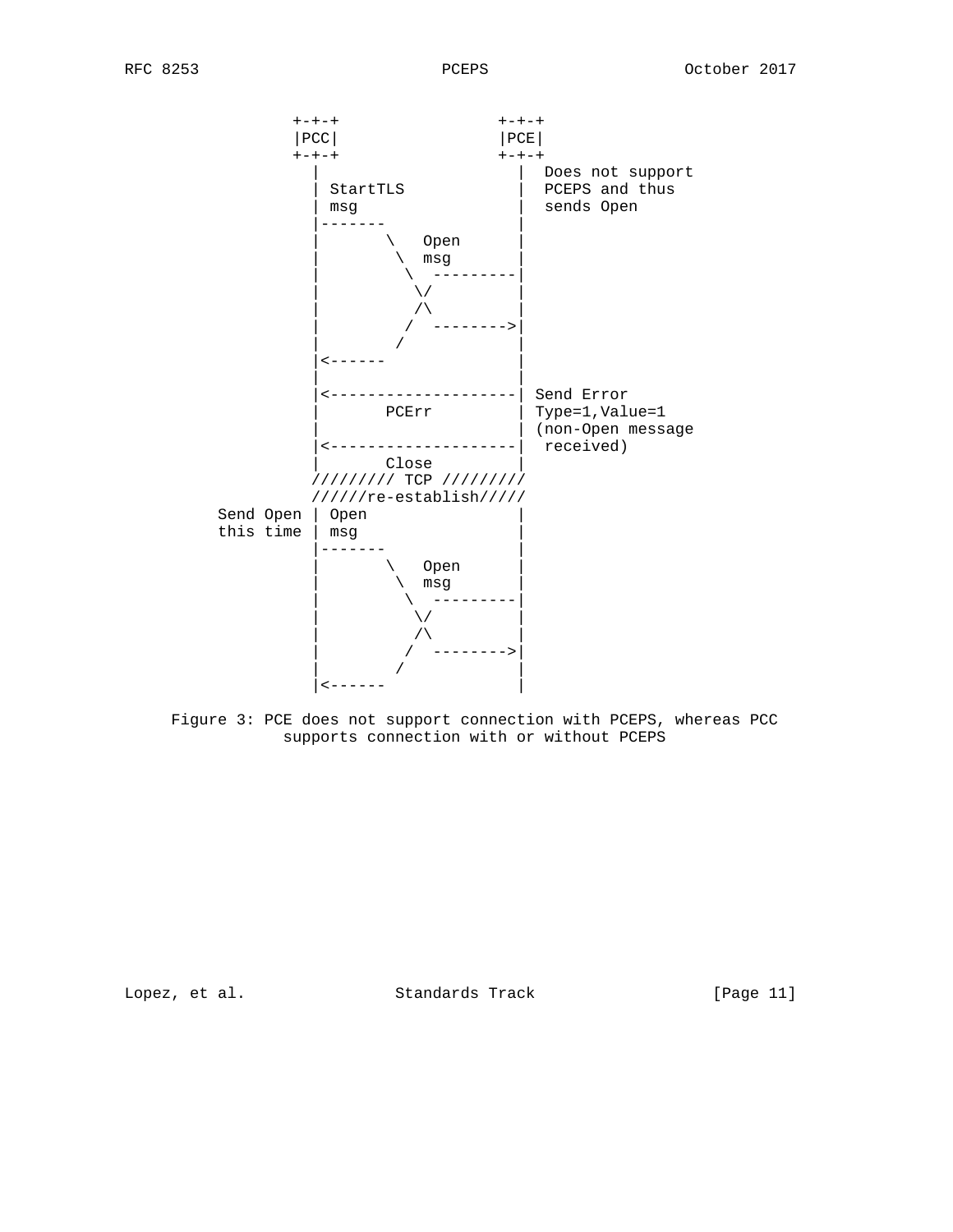

 Figure 3: PCE does not support connection with PCEPS, whereas PCC supports connection with or without PCEPS

Lopez, et al. Standards Track [Page 11]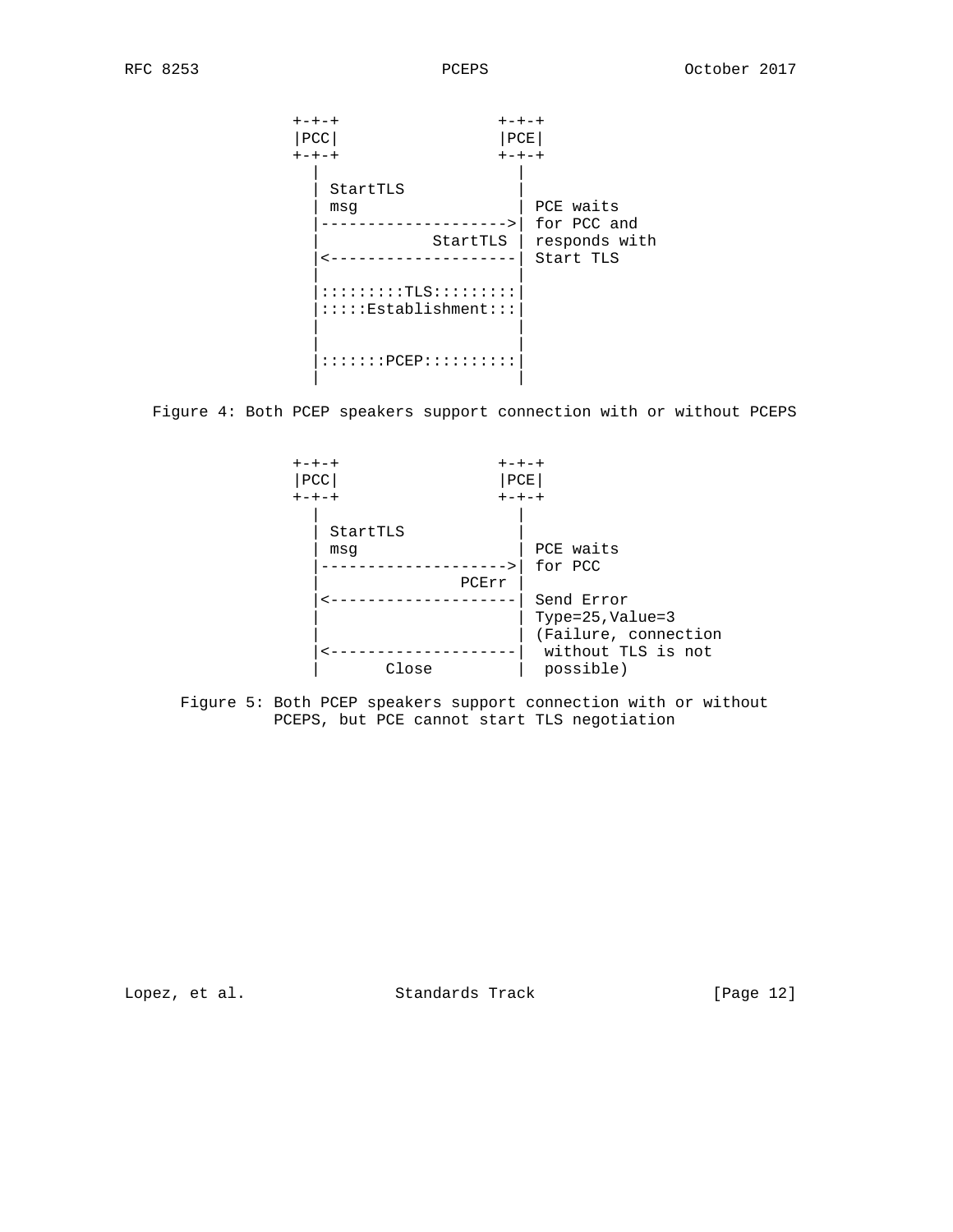

Figure 4: Both PCEP speakers support connection with or without PCEPS



 Figure 5: Both PCEP speakers support connection with or without PCEPS, but PCE cannot start TLS negotiation

Lopez, et al. Standards Track [Page 12]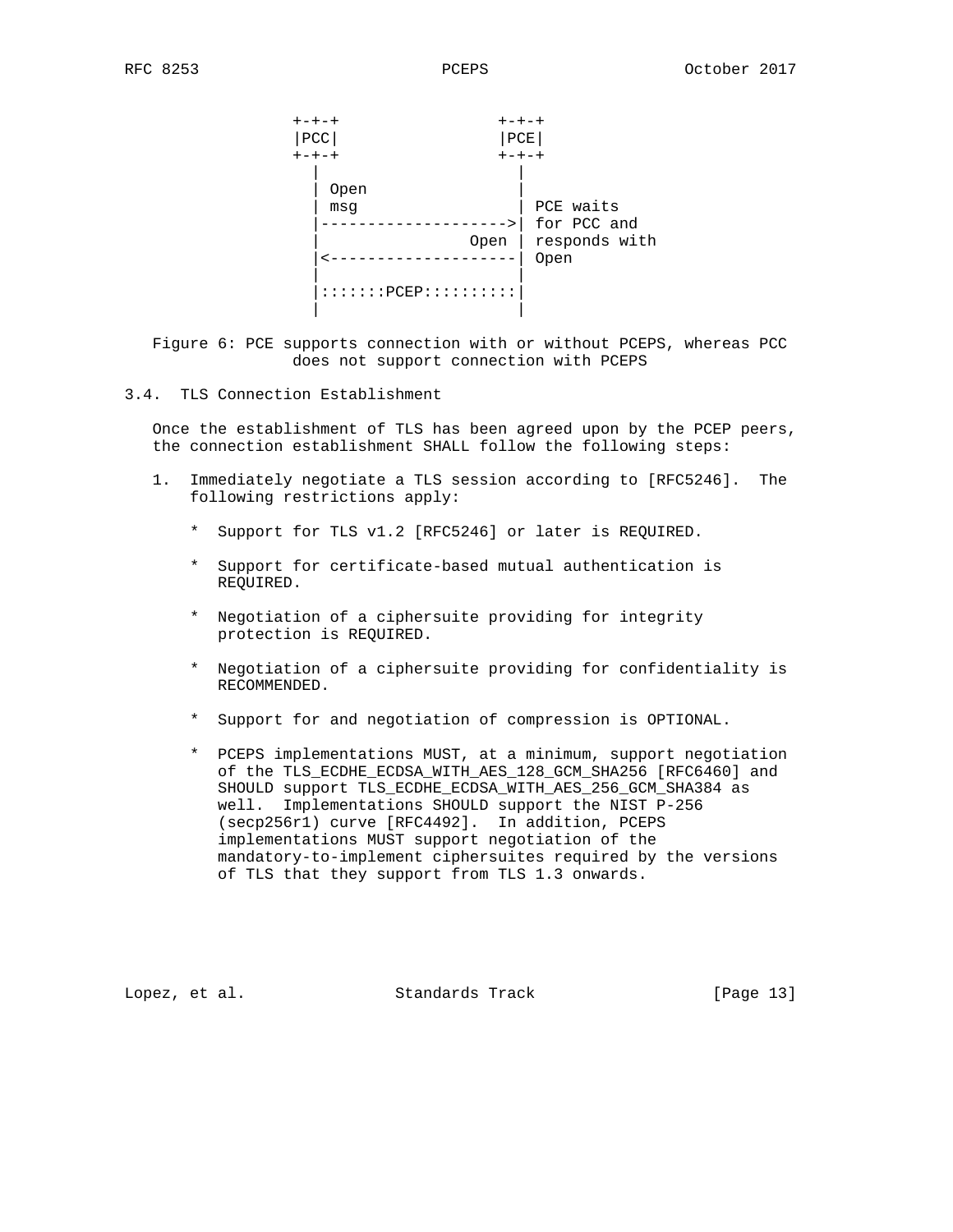

 Figure 6: PCE supports connection with or without PCEPS, whereas PCC does not support connection with PCEPS

### 3.4. TLS Connection Establishment

 Once the establishment of TLS has been agreed upon by the PCEP peers, the connection establishment SHALL follow the following steps:

- 1. Immediately negotiate a TLS session according to [RFC5246]. The following restrictions apply:
	- \* Support for TLS v1.2 [RFC5246] or later is REQUIRED.
	- \* Support for certificate-based mutual authentication is REQUIRED.
	- \* Negotiation of a ciphersuite providing for integrity protection is REQUIRED.
	- \* Negotiation of a ciphersuite providing for confidentiality is RECOMMENDED.
	- \* Support for and negotiation of compression is OPTIONAL.
	- \* PCEPS implementations MUST, at a minimum, support negotiation of the TLS\_ECDHE\_ECDSA\_WITH\_AES\_128\_GCM\_SHA256 [RFC6460] and SHOULD support TLS\_ECDHE\_ECDSA\_WITH\_AES\_256\_GCM\_SHA384 as well. Implementations SHOULD support the NIST P-256 (secp256r1) curve [RFC4492]. In addition, PCEPS implementations MUST support negotiation of the mandatory-to-implement ciphersuites required by the versions of TLS that they support from TLS 1.3 onwards.

Lopez, et al. Standards Track [Page 13]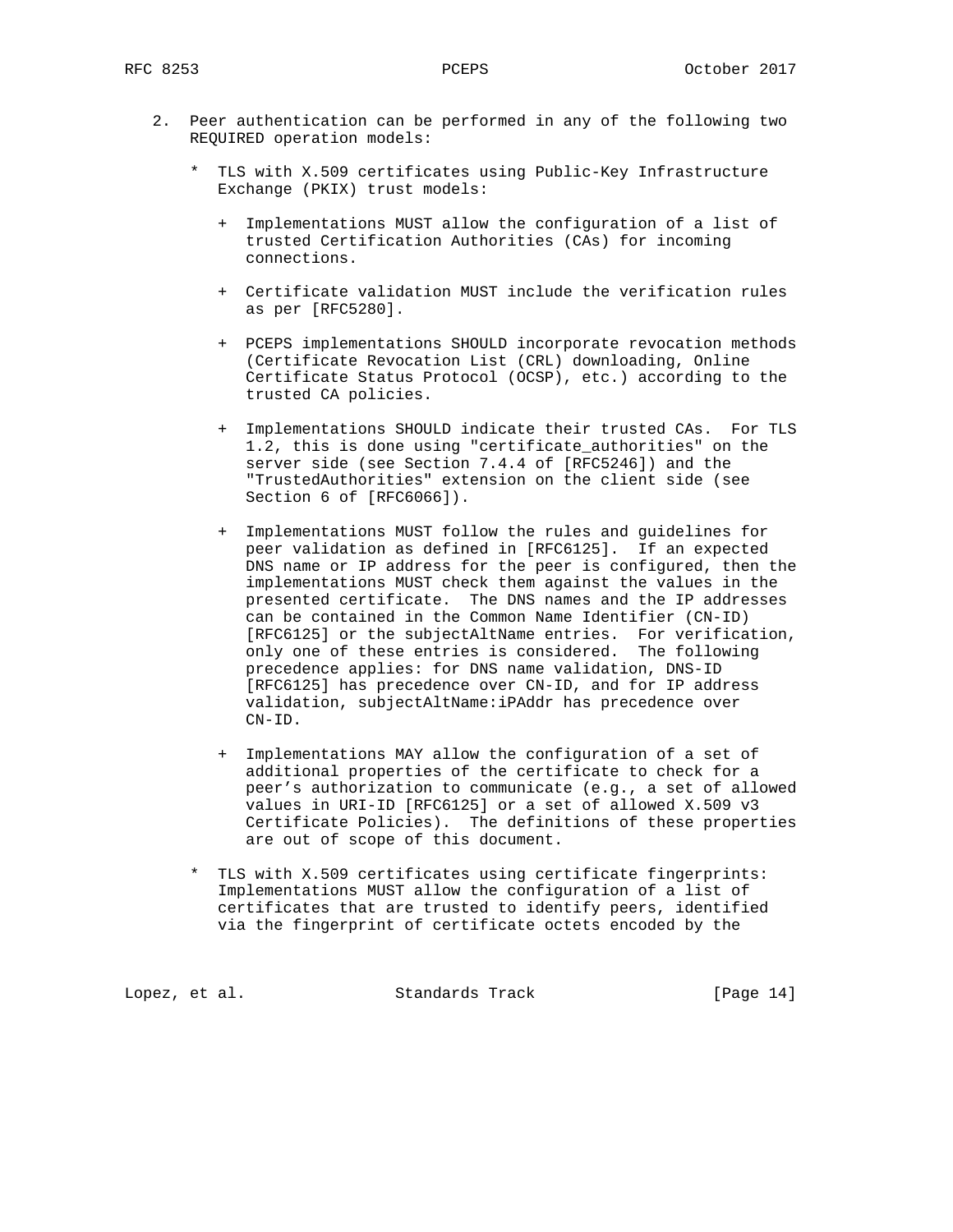- 2. Peer authentication can be performed in any of the following two REQUIRED operation models:
	- \* TLS with X.509 certificates using Public-Key Infrastructure Exchange (PKIX) trust models:
		- + Implementations MUST allow the configuration of a list of trusted Certification Authorities (CAs) for incoming connections.
		- + Certificate validation MUST include the verification rules as per [RFC5280].
		- + PCEPS implementations SHOULD incorporate revocation methods (Certificate Revocation List (CRL) downloading, Online Certificate Status Protocol (OCSP), etc.) according to the trusted CA policies.
		- + Implementations SHOULD indicate their trusted CAs. For TLS 1.2, this is done using "certificate\_authorities" on the server side (see Section 7.4.4 of [RFC5246]) and the "TrustedAuthorities" extension on the client side (see Section 6 of [RFC6066]).
		- + Implementations MUST follow the rules and guidelines for peer validation as defined in [RFC6125]. If an expected DNS name or IP address for the peer is configured, then the implementations MUST check them against the values in the presented certificate. The DNS names and the IP addresses can be contained in the Common Name Identifier (CN-ID) [RFC6125] or the subjectAltName entries. For verification, only one of these entries is considered. The following precedence applies: for DNS name validation, DNS-ID [RFC6125] has precedence over CN-ID, and for IP address validation, subjectAltName:iPAddr has precedence over CN-ID.
		- + Implementations MAY allow the configuration of a set of additional properties of the certificate to check for a peer's authorization to communicate (e.g., a set of allowed values in URI-ID [RFC6125] or a set of allowed X.509 v3 Certificate Policies). The definitions of these properties are out of scope of this document.
	- \* TLS with X.509 certificates using certificate fingerprints: Implementations MUST allow the configuration of a list of certificates that are trusted to identify peers, identified via the fingerprint of certificate octets encoded by the

Lopez, et al. Standards Track [Page 14]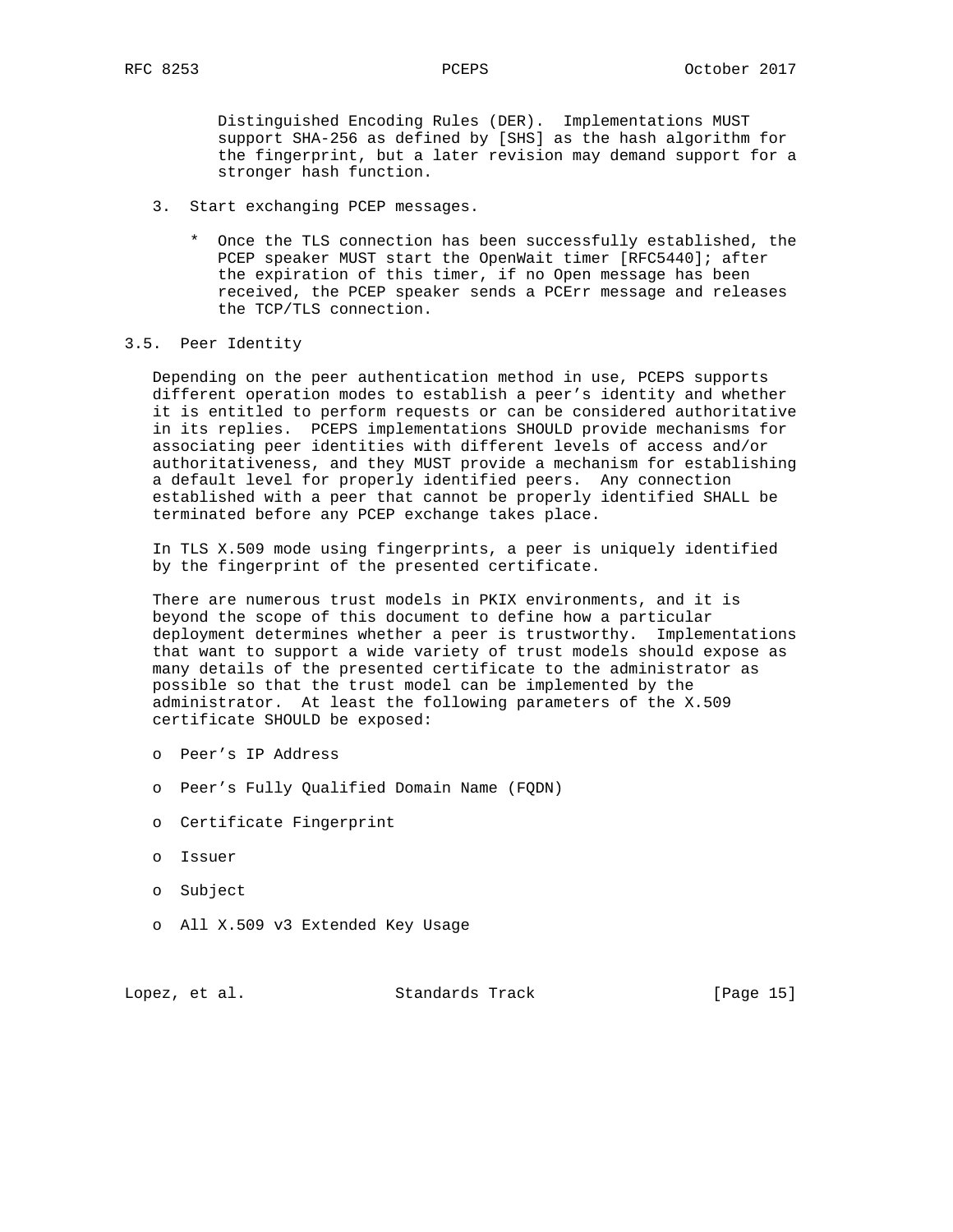Distinguished Encoding Rules (DER). Implementations MUST support SHA-256 as defined by [SHS] as the hash algorithm for the fingerprint, but a later revision may demand support for a stronger hash function.

- 3. Start exchanging PCEP messages.
	- \* Once the TLS connection has been successfully established, the PCEP speaker MUST start the OpenWait timer [RFC5440]; after the expiration of this timer, if no Open message has been received, the PCEP speaker sends a PCErr message and releases the TCP/TLS connection.

### 3.5. Peer Identity

 Depending on the peer authentication method in use, PCEPS supports different operation modes to establish a peer's identity and whether it is entitled to perform requests or can be considered authoritative in its replies. PCEPS implementations SHOULD provide mechanisms for associating peer identities with different levels of access and/or authoritativeness, and they MUST provide a mechanism for establishing a default level for properly identified peers. Any connection established with a peer that cannot be properly identified SHALL be terminated before any PCEP exchange takes place.

 In TLS X.509 mode using fingerprints, a peer is uniquely identified by the fingerprint of the presented certificate.

 There are numerous trust models in PKIX environments, and it is beyond the scope of this document to define how a particular deployment determines whether a peer is trustworthy. Implementations that want to support a wide variety of trust models should expose as many details of the presented certificate to the administrator as possible so that the trust model can be implemented by the administrator. At least the following parameters of the X.509 certificate SHOULD be exposed:

- o Peer's IP Address
- o Peer's Fully Qualified Domain Name (FQDN)
- o Certificate Fingerprint
- o Issuer
- o Subject
- o All X.509 v3 Extended Key Usage

Lopez, et al. Standards Track [Page 15]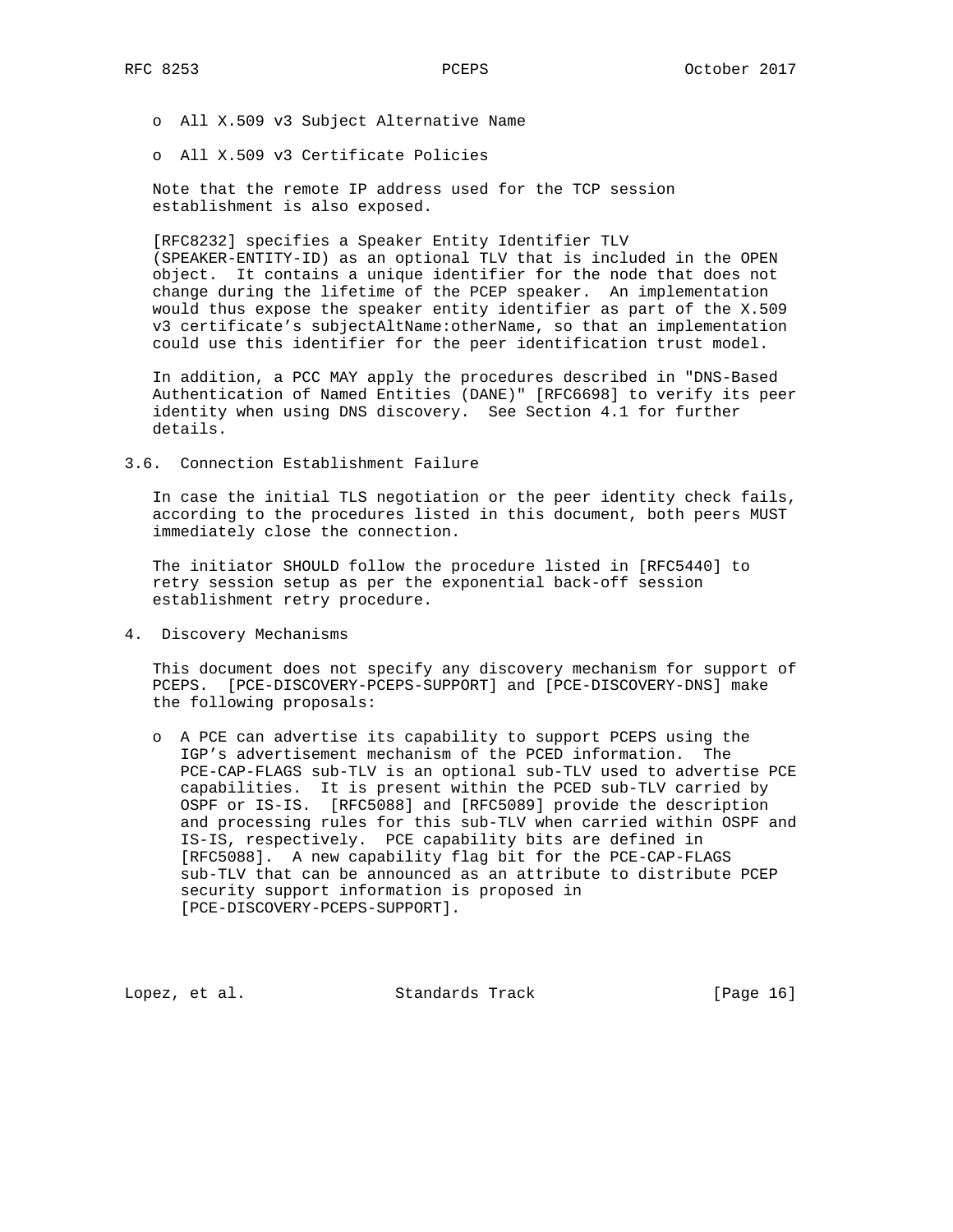o All X.509 v3 Subject Alternative Name

o All X.509 v3 Certificate Policies

 Note that the remote IP address used for the TCP session establishment is also exposed.

 [RFC8232] specifies a Speaker Entity Identifier TLV (SPEAKER-ENTITY-ID) as an optional TLV that is included in the OPEN object. It contains a unique identifier for the node that does not change during the lifetime of the PCEP speaker. An implementation would thus expose the speaker entity identifier as part of the X.509 v3 certificate's subjectAltName:otherName, so that an implementation could use this identifier for the peer identification trust model.

 In addition, a PCC MAY apply the procedures described in "DNS-Based Authentication of Named Entities (DANE)" [RFC6698] to verify its peer identity when using DNS discovery. See Section 4.1 for further details.

3.6. Connection Establishment Failure

 In case the initial TLS negotiation or the peer identity check fails, according to the procedures listed in this document, both peers MUST immediately close the connection.

 The initiator SHOULD follow the procedure listed in [RFC5440] to retry session setup as per the exponential back-off session establishment retry procedure.

4. Discovery Mechanisms

 This document does not specify any discovery mechanism for support of PCEPS. [PCE-DISCOVERY-PCEPS-SUPPORT] and [PCE-DISCOVERY-DNS] make the following proposals:

 o A PCE can advertise its capability to support PCEPS using the IGP's advertisement mechanism of the PCED information. The PCE-CAP-FLAGS sub-TLV is an optional sub-TLV used to advertise PCE capabilities. It is present within the PCED sub-TLV carried by OSPF or IS-IS. [RFC5088] and [RFC5089] provide the description and processing rules for this sub-TLV when carried within OSPF and IS-IS, respectively. PCE capability bits are defined in [RFC5088]. A new capability flag bit for the PCE-CAP-FLAGS sub-TLV that can be announced as an attribute to distribute PCEP security support information is proposed in [PCE-DISCOVERY-PCEPS-SUPPORT].

Lopez, et al. Standards Track [Page 16]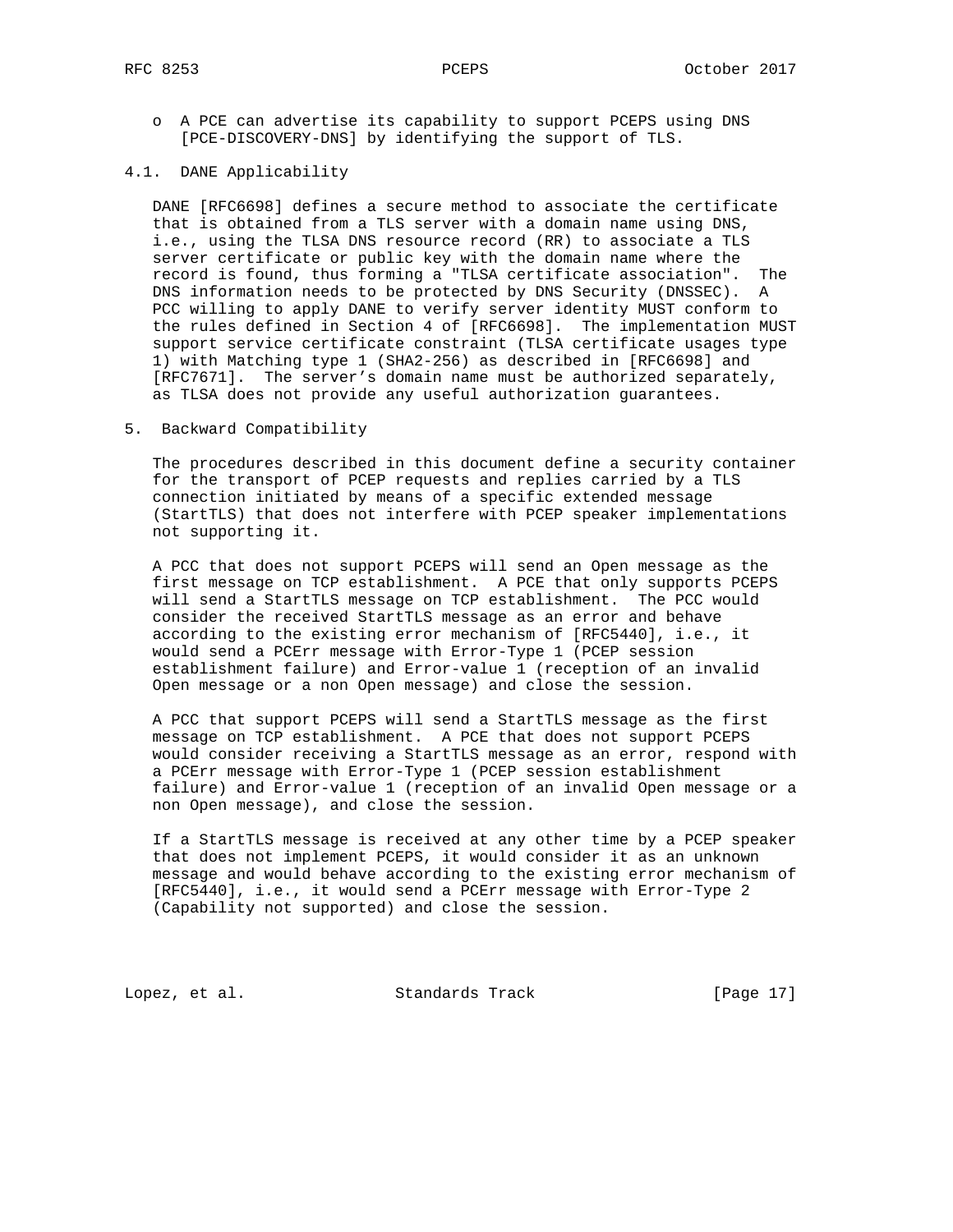o A PCE can advertise its capability to support PCEPS using DNS [PCE-DISCOVERY-DNS] by identifying the support of TLS.

## 4.1. DANE Applicability

 DANE [RFC6698] defines a secure method to associate the certificate that is obtained from a TLS server with a domain name using DNS, i.e., using the TLSA DNS resource record (RR) to associate a TLS server certificate or public key with the domain name where the record is found, thus forming a "TLSA certificate association". The DNS information needs to be protected by DNS Security (DNSSEC). A PCC willing to apply DANE to verify server identity MUST conform to the rules defined in Section 4 of [RFC6698]. The implementation MUST support service certificate constraint (TLSA certificate usages type 1) with Matching type 1 (SHA2-256) as described in [RFC6698] and [RFC7671]. The server's domain name must be authorized separately, as TLSA does not provide any useful authorization guarantees.

## 5. Backward Compatibility

 The procedures described in this document define a security container for the transport of PCEP requests and replies carried by a TLS connection initiated by means of a specific extended message (StartTLS) that does not interfere with PCEP speaker implementations not supporting it.

 A PCC that does not support PCEPS will send an Open message as the first message on TCP establishment. A PCE that only supports PCEPS will send a StartTLS message on TCP establishment. The PCC would consider the received StartTLS message as an error and behave according to the existing error mechanism of [RFC5440], i.e., it would send a PCErr message with Error-Type 1 (PCEP session establishment failure) and Error-value 1 (reception of an invalid Open message or a non Open message) and close the session.

 A PCC that support PCEPS will send a StartTLS message as the first message on TCP establishment. A PCE that does not support PCEPS would consider receiving a StartTLS message as an error, respond with a PCErr message with Error-Type 1 (PCEP session establishment failure) and Error-value 1 (reception of an invalid Open message or a non Open message), and close the session.

 If a StartTLS message is received at any other time by a PCEP speaker that does not implement PCEPS, it would consider it as an unknown message and would behave according to the existing error mechanism of [RFC5440], i.e., it would send a PCErr message with Error-Type 2 (Capability not supported) and close the session.

Lopez, et al. Standards Track [Page 17]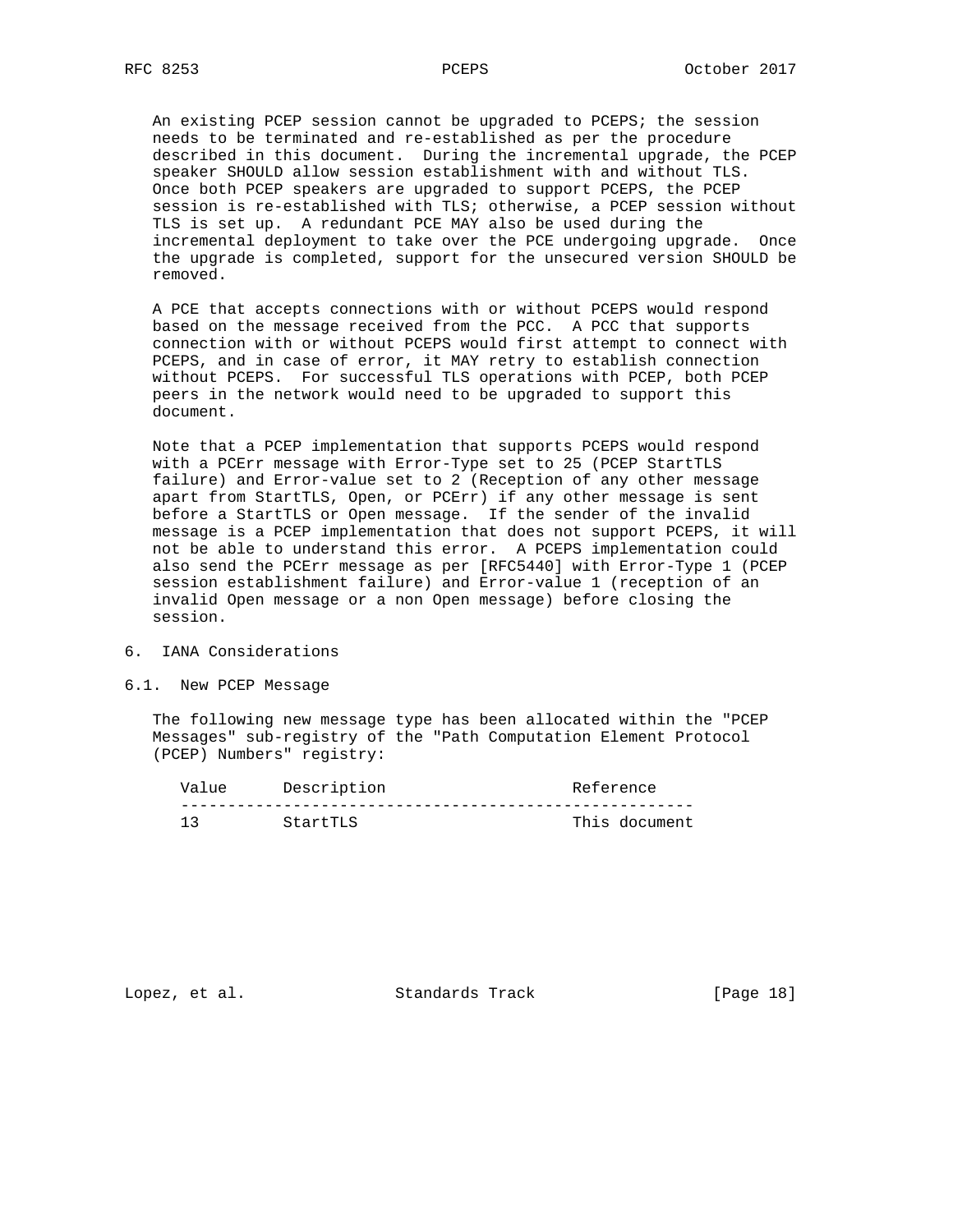An existing PCEP session cannot be upgraded to PCEPS; the session needs to be terminated and re-established as per the procedure described in this document. During the incremental upgrade, the PCEP speaker SHOULD allow session establishment with and without TLS. Once both PCEP speakers are upgraded to support PCEPS, the PCEP session is re-established with TLS; otherwise, a PCEP session without TLS is set up. A redundant PCE MAY also be used during the incremental deployment to take over the PCE undergoing upgrade. Once the upgrade is completed, support for the unsecured version SHOULD be removed.

 A PCE that accepts connections with or without PCEPS would respond based on the message received from the PCC. A PCC that supports connection with or without PCEPS would first attempt to connect with PCEPS, and in case of error, it MAY retry to establish connection without PCEPS. For successful TLS operations with PCEP, both PCEP peers in the network would need to be upgraded to support this document.

 Note that a PCEP implementation that supports PCEPS would respond with a PCErr message with Error-Type set to 25 (PCEP StartTLS failure) and Error-value set to 2 (Reception of any other message apart from StartTLS, Open, or PCErr) if any other message is sent before a StartTLS or Open message. If the sender of the invalid message is a PCEP implementation that does not support PCEPS, it will not be able to understand this error. A PCEPS implementation could also send the PCErr message as per [RFC5440] with Error-Type 1 (PCEP session establishment failure) and Error-value 1 (reception of an invalid Open message or a non Open message) before closing the session.

- 6. IANA Considerations
- 6.1. New PCEP Message

 The following new message type has been allocated within the "PCEP Messages" sub-registry of the "Path Computation Element Protocol (PCEP) Numbers" registry:

| Value | Description | Reference     |
|-------|-------------|---------------|
|       |             |               |
|       | StartTLS    | This document |

Lopez, et al. Standards Track [Page 18]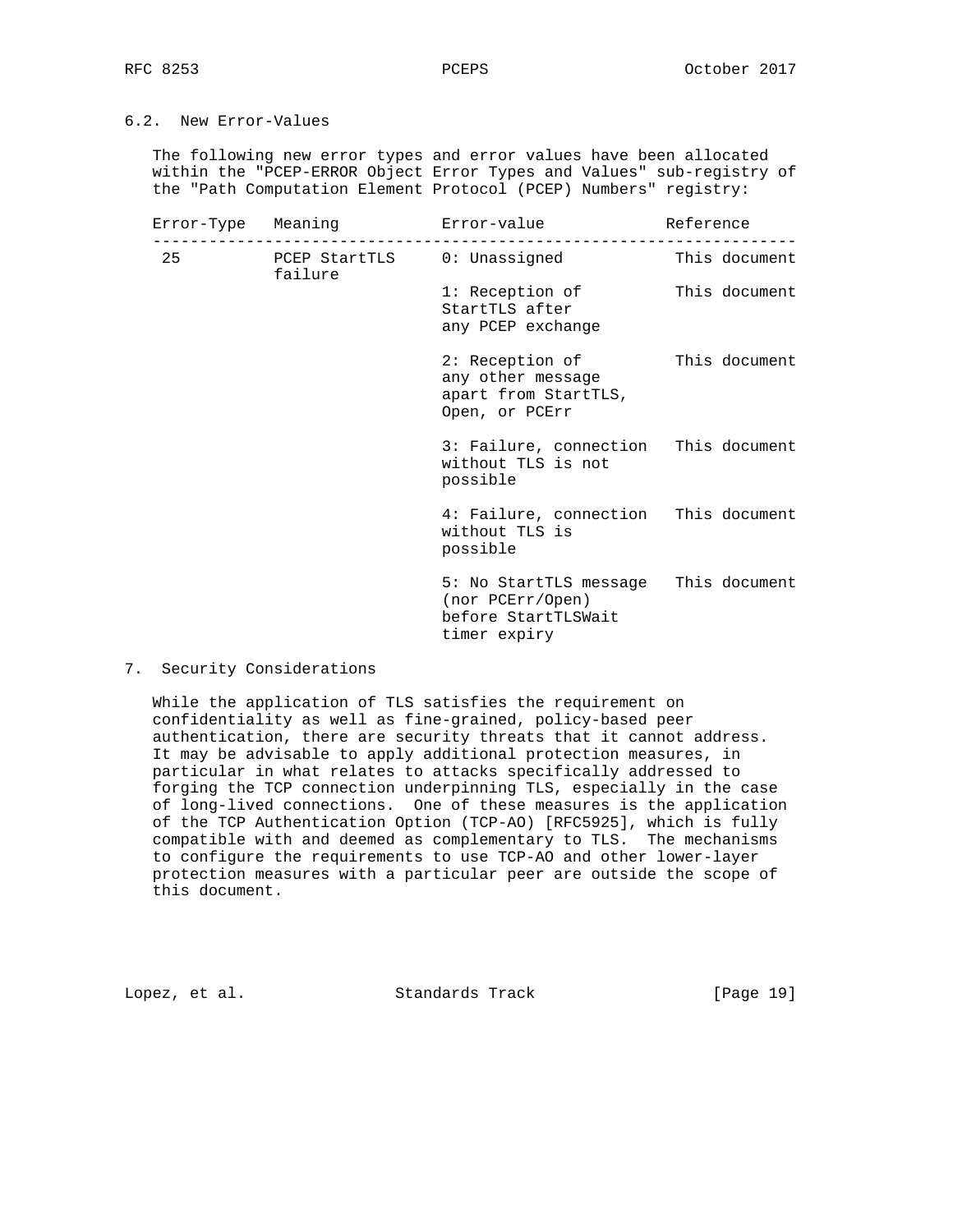# 6.2. New Error-Values

 The following new error types and error values have been allocated within the "PCEP-ERROR Object Error Types and Values" sub-registry of the "Path Computation Element Protocol (PCEP) Numbers" registry:

|    | Error-Type Meaning error-value         |                                                                                                 | Reference     |  |  |  |  |
|----|----------------------------------------|-------------------------------------------------------------------------------------------------|---------------|--|--|--|--|
| 25 | PCEP StartTLS 0: Unassigned<br>failure |                                                                                                 | This document |  |  |  |  |
|    |                                        | 1: Reception of<br>StartTLS after<br>any PCEP exchange                                          | This document |  |  |  |  |
|    |                                        | 2: Reception of<br>any other message<br>apart from StartTLS,<br>Open, or PCErr                  | This document |  |  |  |  |
|    |                                        | 3: Failure, connection This document<br>without TLS is not<br>possible                          |               |  |  |  |  |
|    |                                        | 4: Failure, connection This document<br>without TLS is<br>possible                              |               |  |  |  |  |
|    |                                        | 5: No StartTLS message This document<br>(nor PCErr/Open)<br>before StartTLSWait<br>timer expiry |               |  |  |  |  |

7. Security Considerations

 While the application of TLS satisfies the requirement on confidentiality as well as fine-grained, policy-based peer authentication, there are security threats that it cannot address. It may be advisable to apply additional protection measures, in particular in what relates to attacks specifically addressed to forging the TCP connection underpinning TLS, especially in the case of long-lived connections. One of these measures is the application of the TCP Authentication Option (TCP-AO) [RFC5925], which is fully compatible with and deemed as complementary to TLS. The mechanisms to configure the requirements to use TCP-AO and other lower-layer protection measures with a particular peer are outside the scope of this document.

Lopez, et al. Standards Track [Page 19]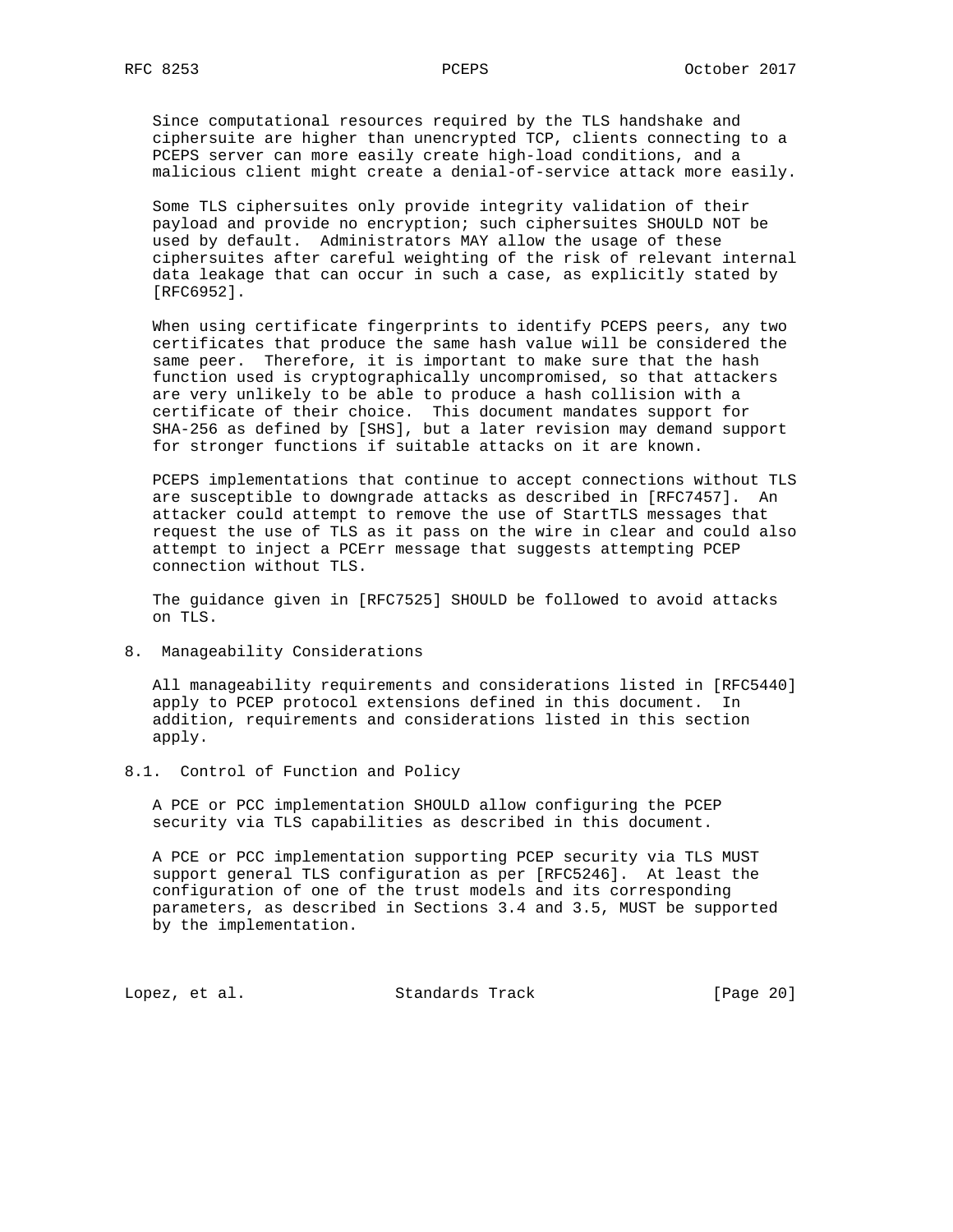Since computational resources required by the TLS handshake and ciphersuite are higher than unencrypted TCP, clients connecting to a PCEPS server can more easily create high-load conditions, and a malicious client might create a denial-of-service attack more easily.

 Some TLS ciphersuites only provide integrity validation of their payload and provide no encryption; such ciphersuites SHOULD NOT be used by default. Administrators MAY allow the usage of these ciphersuites after careful weighting of the risk of relevant internal data leakage that can occur in such a case, as explicitly stated by [RFC6952].

 When using certificate fingerprints to identify PCEPS peers, any two certificates that produce the same hash value will be considered the same peer. Therefore, it is important to make sure that the hash function used is cryptographically uncompromised, so that attackers are very unlikely to be able to produce a hash collision with a certificate of their choice. This document mandates support for SHA-256 as defined by [SHS], but a later revision may demand support for stronger functions if suitable attacks on it are known.

 PCEPS implementations that continue to accept connections without TLS are susceptible to downgrade attacks as described in [RFC7457]. An attacker could attempt to remove the use of StartTLS messages that request the use of TLS as it pass on the wire in clear and could also attempt to inject a PCErr message that suggests attempting PCEP connection without TLS.

 The guidance given in [RFC7525] SHOULD be followed to avoid attacks on TLS.

8. Manageability Considerations

 All manageability requirements and considerations listed in [RFC5440] apply to PCEP protocol extensions defined in this document. In addition, requirements and considerations listed in this section apply.

8.1. Control of Function and Policy

 A PCE or PCC implementation SHOULD allow configuring the PCEP security via TLS capabilities as described in this document.

 A PCE or PCC implementation supporting PCEP security via TLS MUST support general TLS configuration as per [RFC5246]. At least the configuration of one of the trust models and its corresponding parameters, as described in Sections 3.4 and 3.5, MUST be supported by the implementation.

Lopez, et al. Standards Track [Page 20]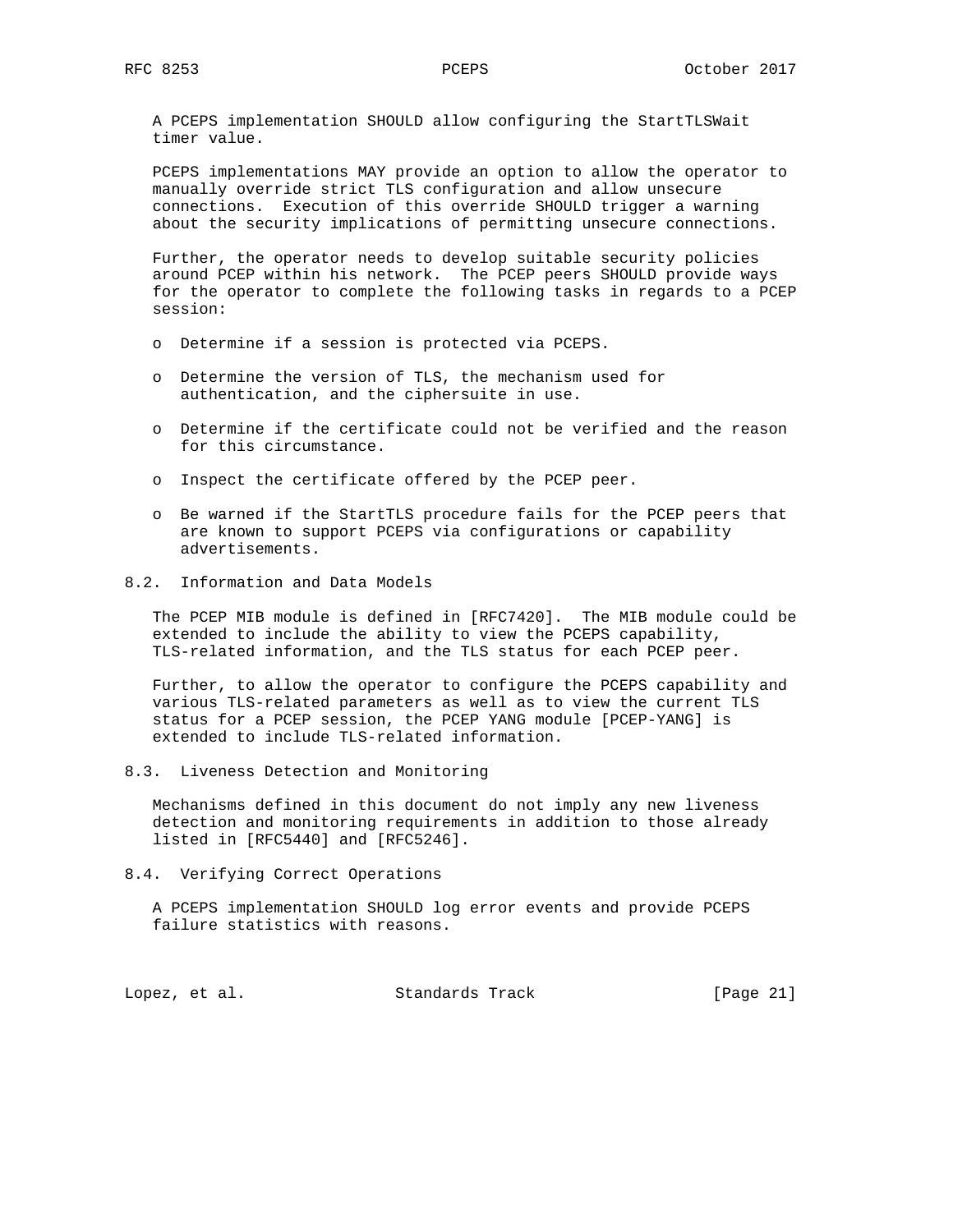A PCEPS implementation SHOULD allow configuring the StartTLSWait timer value.

 PCEPS implementations MAY provide an option to allow the operator to manually override strict TLS configuration and allow unsecure connections. Execution of this override SHOULD trigger a warning about the security implications of permitting unsecure connections.

 Further, the operator needs to develop suitable security policies around PCEP within his network. The PCEP peers SHOULD provide ways for the operator to complete the following tasks in regards to a PCEP session:

- o Determine if a session is protected via PCEPS.
- o Determine the version of TLS, the mechanism used for authentication, and the ciphersuite in use.
- o Determine if the certificate could not be verified and the reason for this circumstance.
- o Inspect the certificate offered by the PCEP peer.
- o Be warned if the StartTLS procedure fails for the PCEP peers that are known to support PCEPS via configurations or capability advertisements.
- 8.2. Information and Data Models

 The PCEP MIB module is defined in [RFC7420]. The MIB module could be extended to include the ability to view the PCEPS capability, TLS-related information, and the TLS status for each PCEP peer.

 Further, to allow the operator to configure the PCEPS capability and various TLS-related parameters as well as to view the current TLS status for a PCEP session, the PCEP YANG module [PCEP-YANG] is extended to include TLS-related information.

8.3. Liveness Detection and Monitoring

 Mechanisms defined in this document do not imply any new liveness detection and monitoring requirements in addition to those already listed in [RFC5440] and [RFC5246].

8.4. Verifying Correct Operations

 A PCEPS implementation SHOULD log error events and provide PCEPS failure statistics with reasons.

Lopez, et al. Standards Track [Page 21]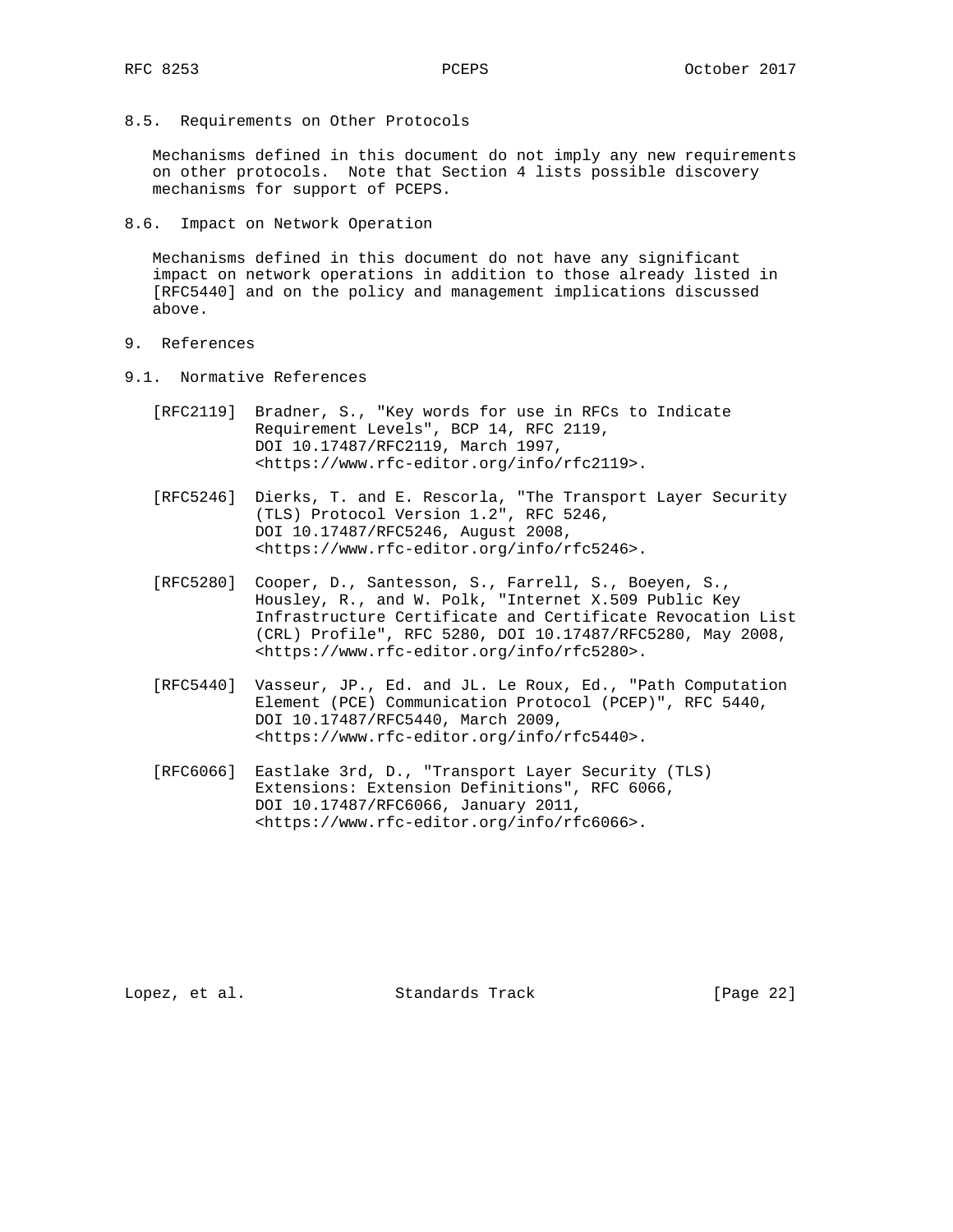8.5. Requirements on Other Protocols

 Mechanisms defined in this document do not imply any new requirements on other protocols. Note that Section 4 lists possible discovery mechanisms for support of PCEPS.

8.6. Impact on Network Operation

 Mechanisms defined in this document do not have any significant impact on network operations in addition to those already listed in [RFC5440] and on the policy and management implications discussed above.

- 9. References
- 9.1. Normative References
	- [RFC2119] Bradner, S., "Key words for use in RFCs to Indicate Requirement Levels", BCP 14, RFC 2119, DOI 10.17487/RFC2119, March 1997, <https://www.rfc-editor.org/info/rfc2119>.
	- [RFC5246] Dierks, T. and E. Rescorla, "The Transport Layer Security (TLS) Protocol Version 1.2", RFC 5246, DOI 10.17487/RFC5246, August 2008, <https://www.rfc-editor.org/info/rfc5246>.
	- [RFC5280] Cooper, D., Santesson, S., Farrell, S., Boeyen, S., Housley, R., and W. Polk, "Internet X.509 Public Key Infrastructure Certificate and Certificate Revocation List (CRL) Profile", RFC 5280, DOI 10.17487/RFC5280, May 2008, <https://www.rfc-editor.org/info/rfc5280>.
	- [RFC5440] Vasseur, JP., Ed. and JL. Le Roux, Ed., "Path Computation Element (PCE) Communication Protocol (PCEP)", RFC 5440, DOI 10.17487/RFC5440, March 2009, <https://www.rfc-editor.org/info/rfc5440>.
	- [RFC6066] Eastlake 3rd, D., "Transport Layer Security (TLS) Extensions: Extension Definitions", RFC 6066, DOI 10.17487/RFC6066, January 2011, <https://www.rfc-editor.org/info/rfc6066>.

Lopez, et al. Standards Track [Page 22]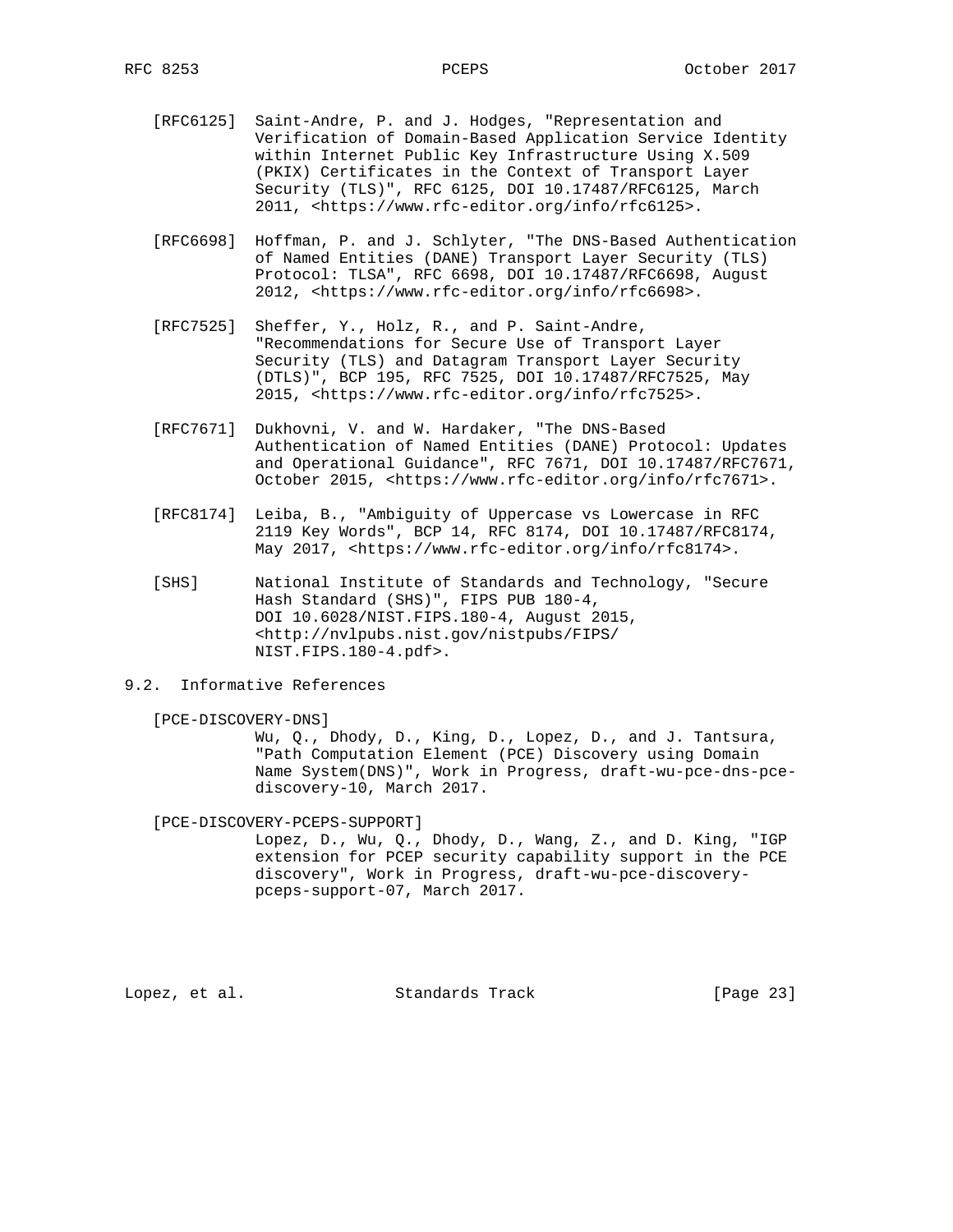- [RFC6125] Saint-Andre, P. and J. Hodges, "Representation and Verification of Domain-Based Application Service Identity within Internet Public Key Infrastructure Using X.509 (PKIX) Certificates in the Context of Transport Layer Security (TLS)", RFC 6125, DOI 10.17487/RFC6125, March 2011, <https://www.rfc-editor.org/info/rfc6125>.
- [RFC6698] Hoffman, P. and J. Schlyter, "The DNS-Based Authentication of Named Entities (DANE) Transport Layer Security (TLS) Protocol: TLSA", RFC 6698, DOI 10.17487/RFC6698, August 2012, <https://www.rfc-editor.org/info/rfc6698>.
- [RFC7525] Sheffer, Y., Holz, R., and P. Saint-Andre, "Recommendations for Secure Use of Transport Layer Security (TLS) and Datagram Transport Layer Security (DTLS)", BCP 195, RFC 7525, DOI 10.17487/RFC7525, May 2015, <https://www.rfc-editor.org/info/rfc7525>.
- [RFC7671] Dukhovni, V. and W. Hardaker, "The DNS-Based Authentication of Named Entities (DANE) Protocol: Updates and Operational Guidance", RFC 7671, DOI 10.17487/RFC7671, October 2015, <https://www.rfc-editor.org/info/rfc7671>.
- [RFC8174] Leiba, B., "Ambiguity of Uppercase vs Lowercase in RFC 2119 Key Words", BCP 14, RFC 8174, DOI 10.17487/RFC8174, May 2017, <https://www.rfc-editor.org/info/rfc8174>.
- [SHS] National Institute of Standards and Technology, "Secure Hash Standard (SHS)", FIPS PUB 180-4, DOI 10.6028/NIST.FIPS.180-4, August 2015, <http://nvlpubs.nist.gov/nistpubs/FIPS/ NIST.FIPS.180-4.pdf>.
- 9.2. Informative References
	- [PCE-DISCOVERY-DNS]

 Wu, Q., Dhody, D., King, D., Lopez, D., and J. Tantsura, "Path Computation Element (PCE) Discovery using Domain Name System(DNS)", Work in Progress, draft-wu-pce-dns-pce discovery-10, March 2017.

[PCE-DISCOVERY-PCEPS-SUPPORT]

 Lopez, D., Wu, Q., Dhody, D., Wang, Z., and D. King, "IGP extension for PCEP security capability support in the PCE discovery", Work in Progress, draft-wu-pce-discovery pceps-support-07, March 2017.

Lopez, et al. Standards Track [Page 23]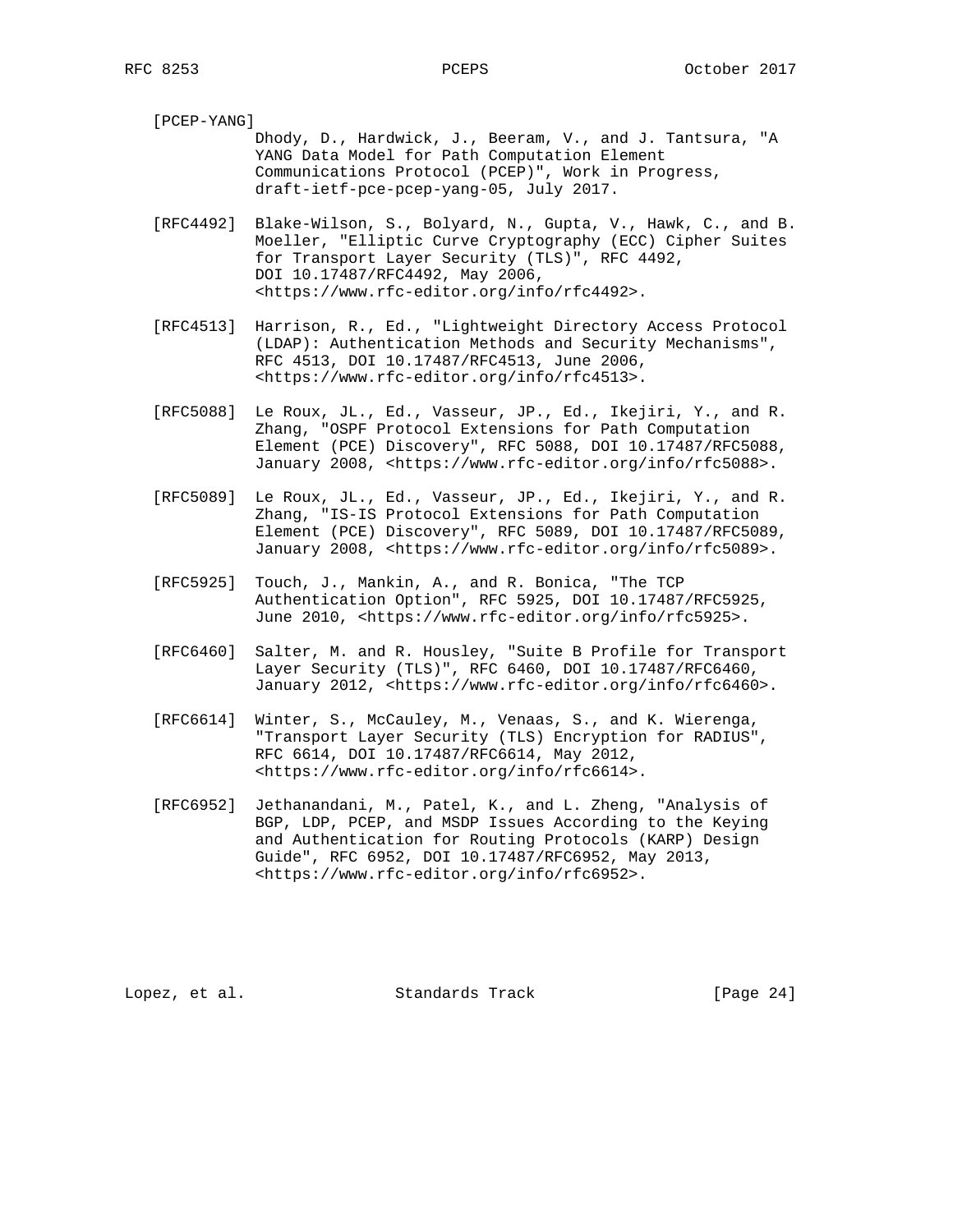[PCEP-YANG] Dhody, D., Hardwick, J., Beeram, V., and J. Tantsura, "A YANG Data Model for Path Computation Element Communications Protocol (PCEP)", Work in Progress, draft-ietf-pce-pcep-yang-05, July 2017. [RFC4492] Blake-Wilson, S., Bolyard, N., Gupta, V., Hawk, C., and B.

- Moeller, "Elliptic Curve Cryptography (ECC) Cipher Suites for Transport Layer Security (TLS)", RFC 4492, DOI 10.17487/RFC4492, May 2006, <https://www.rfc-editor.org/info/rfc4492>.
- [RFC4513] Harrison, R., Ed., "Lightweight Directory Access Protocol (LDAP): Authentication Methods and Security Mechanisms", RFC 4513, DOI 10.17487/RFC4513, June 2006, <https://www.rfc-editor.org/info/rfc4513>.
- [RFC5088] Le Roux, JL., Ed., Vasseur, JP., Ed., Ikejiri, Y., and R. Zhang, "OSPF Protocol Extensions for Path Computation Element (PCE) Discovery", RFC 5088, DOI 10.17487/RFC5088, January 2008, <https://www.rfc-editor.org/info/rfc5088>.
- [RFC5089] Le Roux, JL., Ed., Vasseur, JP., Ed., Ikejiri, Y., and R. Zhang, "IS-IS Protocol Extensions for Path Computation Element (PCE) Discovery", RFC 5089, DOI 10.17487/RFC5089, January 2008, <https://www.rfc-editor.org/info/rfc5089>.
- [RFC5925] Touch, J., Mankin, A., and R. Bonica, "The TCP Authentication Option", RFC 5925, DOI 10.17487/RFC5925, June 2010, <https://www.rfc-editor.org/info/rfc5925>.
- [RFC6460] Salter, M. and R. Housley, "Suite B Profile for Transport Layer Security (TLS)", RFC 6460, DOI 10.17487/RFC6460, January 2012, <https://www.rfc-editor.org/info/rfc6460>.
- [RFC6614] Winter, S., McCauley, M., Venaas, S., and K. Wierenga, "Transport Layer Security (TLS) Encryption for RADIUS", RFC 6614, DOI 10.17487/RFC6614, May 2012, <https://www.rfc-editor.org/info/rfc6614>.
- [RFC6952] Jethanandani, M., Patel, K., and L. Zheng, "Analysis of BGP, LDP, PCEP, and MSDP Issues According to the Keying and Authentication for Routing Protocols (KARP) Design Guide", RFC 6952, DOI 10.17487/RFC6952, May 2013, <https://www.rfc-editor.org/info/rfc6952>.

Lopez, et al. Standards Track [Page 24]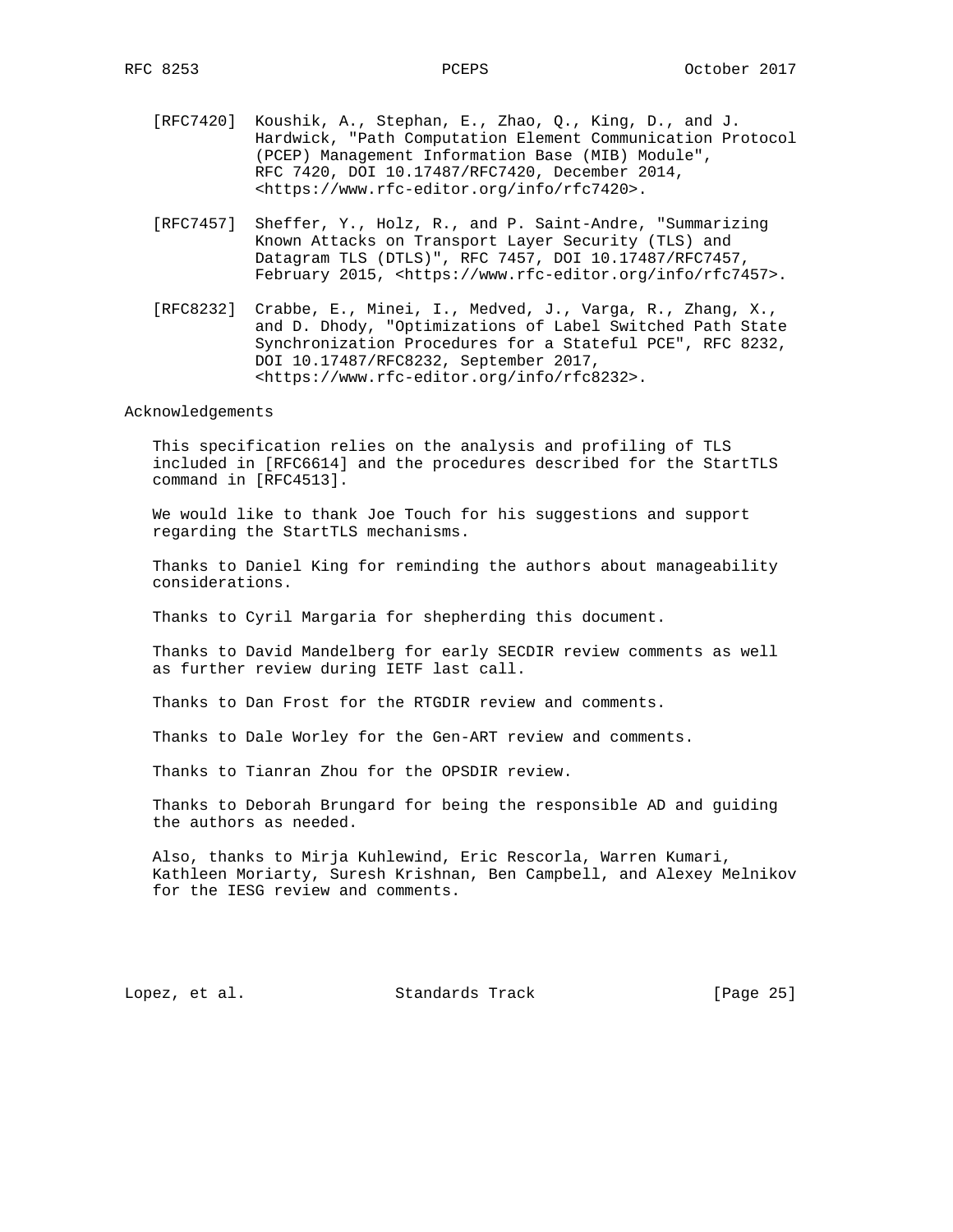- [RFC7420] Koushik, A., Stephan, E., Zhao, Q., King, D., and J. Hardwick, "Path Computation Element Communication Protocol (PCEP) Management Information Base (MIB) Module", RFC 7420, DOI 10.17487/RFC7420, December 2014, <https://www.rfc-editor.org/info/rfc7420>.
- [RFC7457] Sheffer, Y., Holz, R., and P. Saint-Andre, "Summarizing Known Attacks on Transport Layer Security (TLS) and Datagram TLS (DTLS)", RFC 7457, DOI 10.17487/RFC7457, February 2015, <https://www.rfc-editor.org/info/rfc7457>.
- [RFC8232] Crabbe, E., Minei, I., Medved, J., Varga, R., Zhang, X., and D. Dhody, "Optimizations of Label Switched Path State Synchronization Procedures for a Stateful PCE", RFC 8232, DOI 10.17487/RFC8232, September 2017, <https://www.rfc-editor.org/info/rfc8232>.

Acknowledgements

 This specification relies on the analysis and profiling of TLS included in [RFC6614] and the procedures described for the StartTLS command in [RFC4513].

 We would like to thank Joe Touch for his suggestions and support regarding the StartTLS mechanisms.

 Thanks to Daniel King for reminding the authors about manageability considerations.

Thanks to Cyril Margaria for shepherding this document.

 Thanks to David Mandelberg for early SECDIR review comments as well as further review during IETF last call.

Thanks to Dan Frost for the RTGDIR review and comments.

Thanks to Dale Worley for the Gen-ART review and comments.

Thanks to Tianran Zhou for the OPSDIR review.

 Thanks to Deborah Brungard for being the responsible AD and guiding the authors as needed.

 Also, thanks to Mirja Kuhlewind, Eric Rescorla, Warren Kumari, Kathleen Moriarty, Suresh Krishnan, Ben Campbell, and Alexey Melnikov for the IESG review and comments.

Lopez, et al. Standards Track [Page 25]